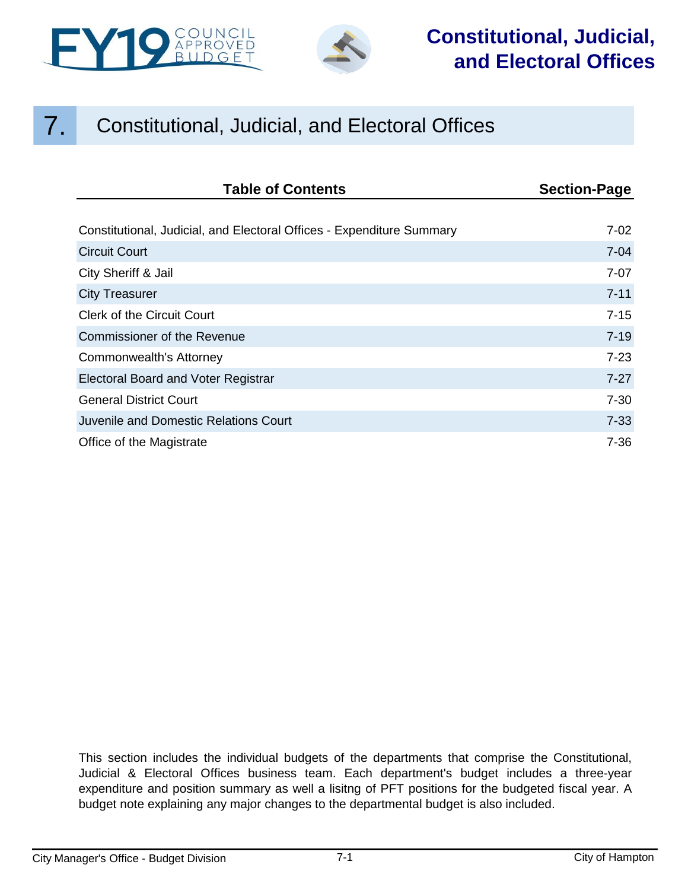



## **Constitutional, Judicial, and Electoral Offices**

## 7. Constitutional, Judicial, and Electoral Offices

| <b>Table of Contents</b>                                              | <b>Section-Page</b> |
|-----------------------------------------------------------------------|---------------------|
|                                                                       |                     |
| Constitutional, Judicial, and Electoral Offices - Expenditure Summary | $7-02$              |
| <b>Circuit Court</b>                                                  | $7 - 04$            |
| City Sheriff & Jail                                                   | $7-07$              |
| <b>City Treasurer</b>                                                 | $7 - 11$            |
| <b>Clerk of the Circuit Court</b>                                     | $7 - 15$            |
| Commissioner of the Revenue                                           | $7 - 19$            |
| Commonwealth's Attorney                                               | $7 - 23$            |
| Electoral Board and Voter Registrar                                   | $7 - 27$            |
| <b>General District Court</b>                                         | $7 - 30$            |
| Juvenile and Domestic Relations Court                                 | $7 - 33$            |
| Office of the Magistrate                                              | $7 - 36$            |

This section includes the individual budgets of the departments that comprise the Constitutional, Judicial & Electoral Offices business team. Each department's budget includes a three-year expenditure and position summary as well a lisitng of PFT positions for the budgeted fiscal year. A budget note explaining any major changes to the departmental budget is also included.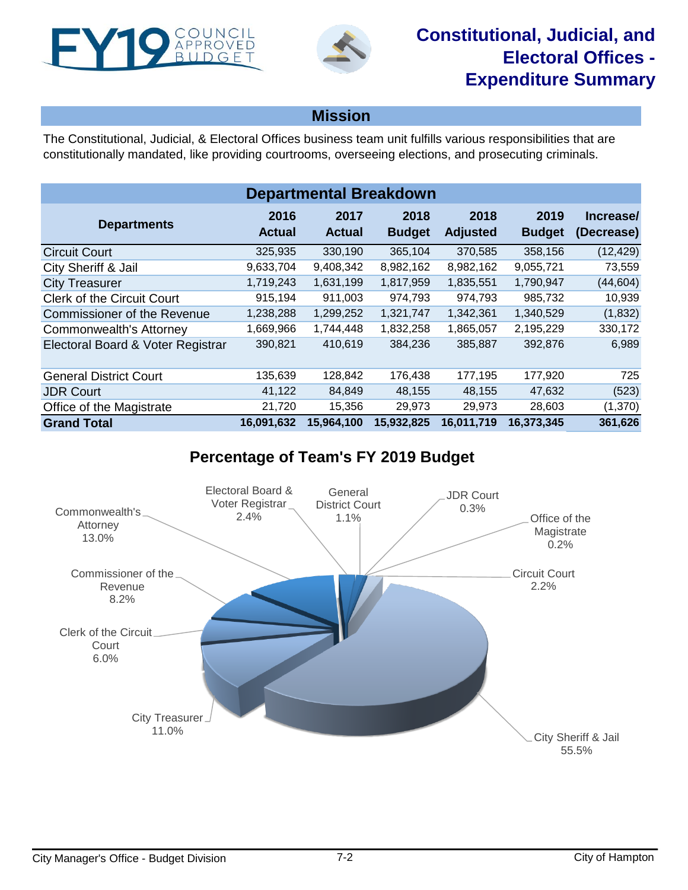<span id="page-1-0"></span>



**Mission**

The Constitutional, Judicial, & Electoral Offices business team unit fulfills various responsibilities that are constitutionally mandated, like providing courtrooms, overseeing elections, and prosecuting criminals.

| <b>Departmental Breakdown</b>      |                       |                       |                       |                         |                       |                         |  |  |
|------------------------------------|-----------------------|-----------------------|-----------------------|-------------------------|-----------------------|-------------------------|--|--|
| <b>Departments</b>                 | 2016<br><b>Actual</b> | 2017<br><b>Actual</b> | 2018<br><b>Budget</b> | 2018<br><b>Adjusted</b> | 2019<br><b>Budget</b> | Increase/<br>(Decrease) |  |  |
| <b>Circuit Court</b>               | 325,935               | 330,190               | 365,104               | 370,585                 | 358,156               | (12, 429)               |  |  |
| City Sheriff & Jail                | 9,633,704             | 9,408,342             | 8,982,162             | 8,982,162               | 9,055,721             | 73,559                  |  |  |
| <b>City Treasurer</b>              | 1,719,243             | 1,631,199             | 1,817,959             | 1,835,551               | 1,790,947             | (44, 604)               |  |  |
| <b>Clerk of the Circuit Court</b>  | 915,194               | 911,003               | 974,793               | 974,793                 | 985,732               | 10,939                  |  |  |
| <b>Commissioner of the Revenue</b> | 1,238,288             | 1,299,252             | 1,321,747             | 1,342,361               | 1,340,529             | (1,832)                 |  |  |
| Commonwealth's Attorney            | 1,669,966             | 1,744,448             | 1,832,258             | 1,865,057               | 2,195,229             | 330,172                 |  |  |
| Electoral Board & Voter Registrar  | 390,821               | 410,619               | 384,236               | 385,887                 | 392,876               | 6,989                   |  |  |
| <b>General District Court</b>      | 135,639               | 128,842               | 176,438               | 177,195                 | 177,920               | 725                     |  |  |
| <b>JDR Court</b>                   | 41,122                | 84,849                | 48,155                | 48,155                  | 47,632                | (523)                   |  |  |
| Office of the Magistrate           | 21,720                | 15,356                | 29,973                | 29,973                  | 28,603                | (1, 370)                |  |  |
| <b>Grand Total</b>                 | 16,091,632            | 15,964,100            | 15,932,825            | 16,011,719              | 16,373,345            | 361,626                 |  |  |

## **Percentage of Team's FY 2019 Budget**

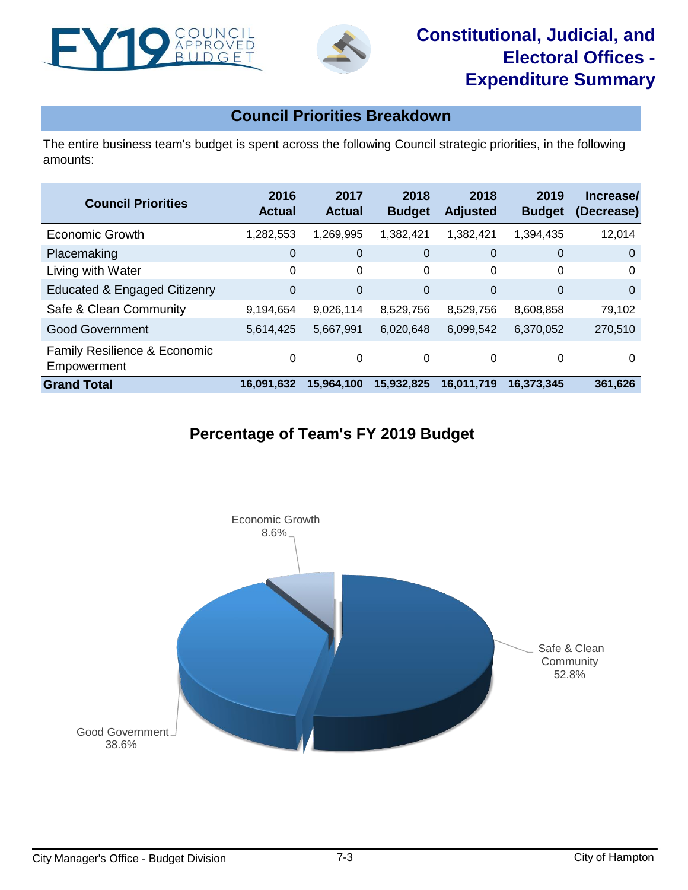



### **Council Priorities Breakdown**

The entire business team's budget is spent across the following Council strategic priorities, in the following amounts:

| <b>Council Priorities</b>                              | 2016<br><b>Actual</b> | 2017<br><b>Actual</b> | 2018<br><b>Budget</b> | 2018<br><b>Adjusted</b> | 2019<br><b>Budget</b> | Increase/<br>(Decrease) |
|--------------------------------------------------------|-----------------------|-----------------------|-----------------------|-------------------------|-----------------------|-------------------------|
| <b>Economic Growth</b>                                 | 1,282,553             | 1,269,995             | 1,382,421             | 1,382,421               | 1,394,435             | 12,014                  |
| Placemaking                                            | 0                     | $\mathbf 0$           | $\mathbf 0$           | 0                       | $\mathbf 0$           | $\overline{0}$          |
| Living with Water                                      | 0                     | 0                     | 0                     | 0                       | 0                     | 0                       |
| <b>Educated &amp; Engaged Citizenry</b>                | $\mathbf 0$           | $\mathbf 0$           | $\Omega$              | $\overline{0}$          | 0                     | $\Omega$                |
| Safe & Clean Community                                 | 9,194,654             | 9,026,114             | 8,529,756             | 8,529,756               | 8,608,858             | 79,102                  |
| <b>Good Government</b>                                 | 5,614,425             | 5,667,991             | 6,020,648             | 6,099,542               | 6,370,052             | 270,510                 |
| <b>Family Resilience &amp; Economic</b><br>Empowerment | 0                     | 0                     | $\Omega$              | 0                       | 0                     | 0                       |
| <b>Grand Total</b>                                     | 16,091,632            | 15,964,100            | 15,932,825            | 16,011,719              | 16.373.345            | 361,626                 |

## **Percentage of Team's FY 2019 Budget**

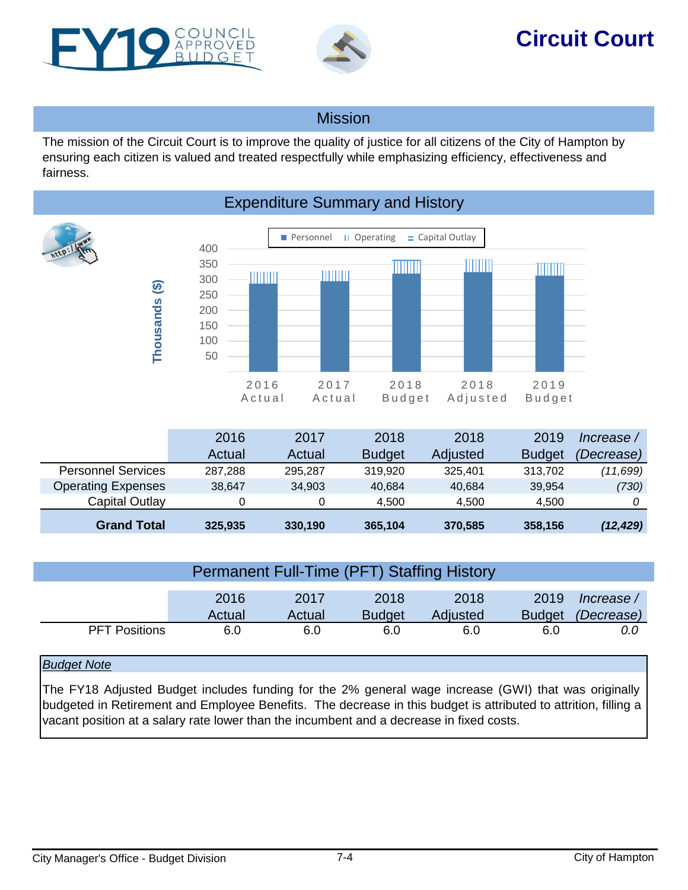<span id="page-3-0"></span>



# **Circuit Court**

### **Mission**

The mission of the Circuit Court is to improve the quality of justice for all citizens of the City of Hampton by ensuring each citizen is valued and treated respectfully while emphasizing efficiency, effectiveness and fairness.



|                           | 2016    | 2017    | 2018          | 2018     | 2019          | Increase / |
|---------------------------|---------|---------|---------------|----------|---------------|------------|
|                           | Actual  | Actual  | <b>Budget</b> | Adjusted | <b>Budget</b> | (Decrease) |
| <b>Personnel Services</b> | 287.288 | 295.287 | 319.920       | 325.401  | 313.702       | (11,699)   |
| <b>Operating Expenses</b> | 38.647  | 34,903  | 40,684        | 40,684   | 39.954        | (730)      |
| Capital Outlay            |         |         | 4.500         | 4.500    | 4.500         |            |
| <b>Grand Total</b>        | 325,935 | 330,190 | 365,104       | 370,585  | 358,156       | (12, 429)  |

| <b>Permanent Full-Time (PFT) Staffing History</b> |        |        |               |          |               |            |  |
|---------------------------------------------------|--------|--------|---------------|----------|---------------|------------|--|
|                                                   |        |        |               |          |               |            |  |
|                                                   |        |        |               |          |               |            |  |
|                                                   | 2016   | 2017   | 2018          | 2018     | 2019          | lncrease / |  |
|                                                   | Actual | Actual | <b>Budget</b> | Adjusted | <b>Budget</b> | (Decrease) |  |
| <b>PFT Positions</b>                              | 6.0    | 6.0    | 6.0           | 6.0      | 6.0           | 0.0        |  |

### *Budget Note*

The FY18 Adjusted Budget includes funding for the 2% general wage increase (GWI) that was originally budgeted in Retirement and Employee Benefits. The decrease in this budget is attributed to attrition, filling a vacant position at a salary rate lower than the incumbent and a decrease in fixed costs.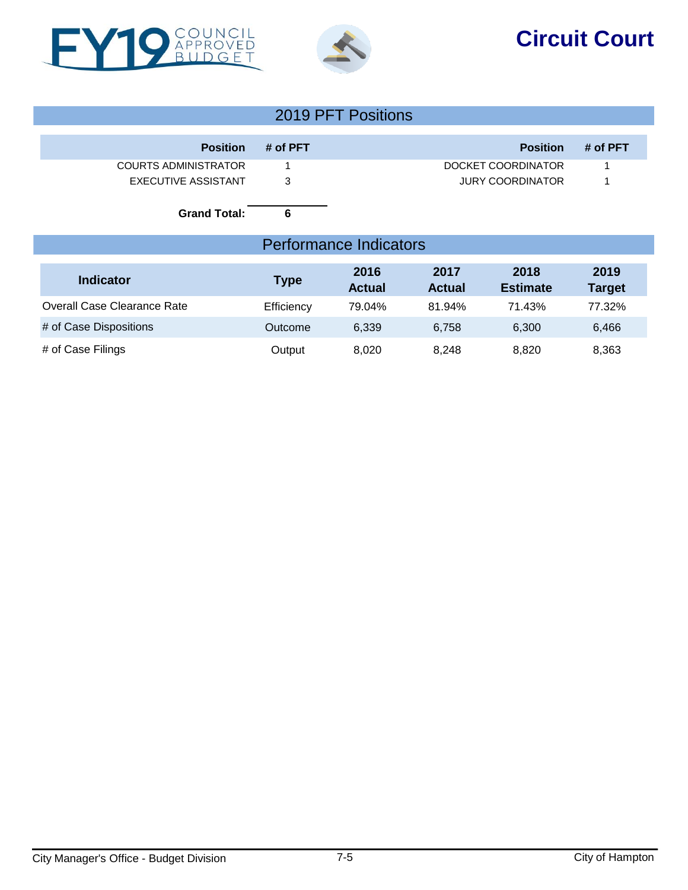



# **Circuit Court**

|                                                                                  | 2019 PFT Positions |                                                    |                       |                         |                       |  |  |  |
|----------------------------------------------------------------------------------|--------------------|----------------------------------------------------|-----------------------|-------------------------|-----------------------|--|--|--|
| <b>Position</b>                                                                  | # of PFT           |                                                    |                       | <b>Position</b>         | # of PFT              |  |  |  |
| <b>COURTS ADMINISTRATOR</b><br><b>EXECUTIVE ASSISTANT</b><br><b>Grand Total:</b> | 3<br>6             | DOCKET COORDINATOR<br>1<br><b>JURY COORDINATOR</b> |                       |                         |                       |  |  |  |
|                                                                                  |                    | <b>Performance Indicators</b>                      |                       |                         |                       |  |  |  |
| <b>Indicator</b>                                                                 | <b>Type</b>        | 2016<br><b>Actual</b>                              | 2017<br><b>Actual</b> | 2018<br><b>Estimate</b> | 2019<br><b>Target</b> |  |  |  |
| Overall Case Clearance Rate                                                      | Efficiency         | 79.04%                                             | 81.94%                | 71.43%                  | 77.32%                |  |  |  |
| # of Case Dispositions                                                           | Outcome            | 6,339                                              | 6,758                 | 6,300                   | 6,466                 |  |  |  |
| # of Case Filings                                                                | Output             | 8,020                                              | 8,248                 | 8,820                   | 8,363                 |  |  |  |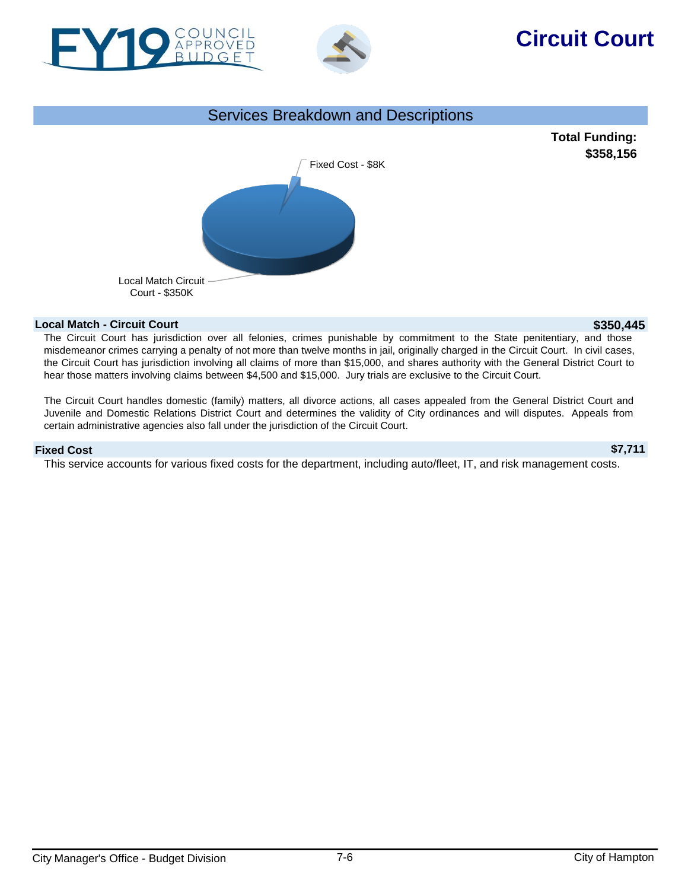



# **Circuit Court**

#### Services Breakdown and Descriptions



#### **Local Match - Circuit Court \$350,445**

The Circuit Court has jurisdiction over all felonies, crimes punishable by commitment to the State penitentiary, and those misdemeanor crimes carrying a penalty of not more than twelve months in jail, originally charged in the Circuit Court. In civil cases, the Circuit Court has jurisdiction involving all claims of more than \$15,000, and shares authority with the General District Court to hear those matters involving claims between \$4,500 and \$15,000. Jury trials are exclusive to the Circuit Court.

The Circuit Court handles domestic (family) matters, all divorce actions, all cases appealed from the General District Court and Juvenile and Domestic Relations District Court and determines the validity of City ordinances and will disputes. Appeals from certain administrative agencies also fall under the jurisdiction of the Circuit Court.

**Fixed Cost \$7,711** This service accounts for various fixed costs for the department, including auto/fleet, IT, and risk management costs.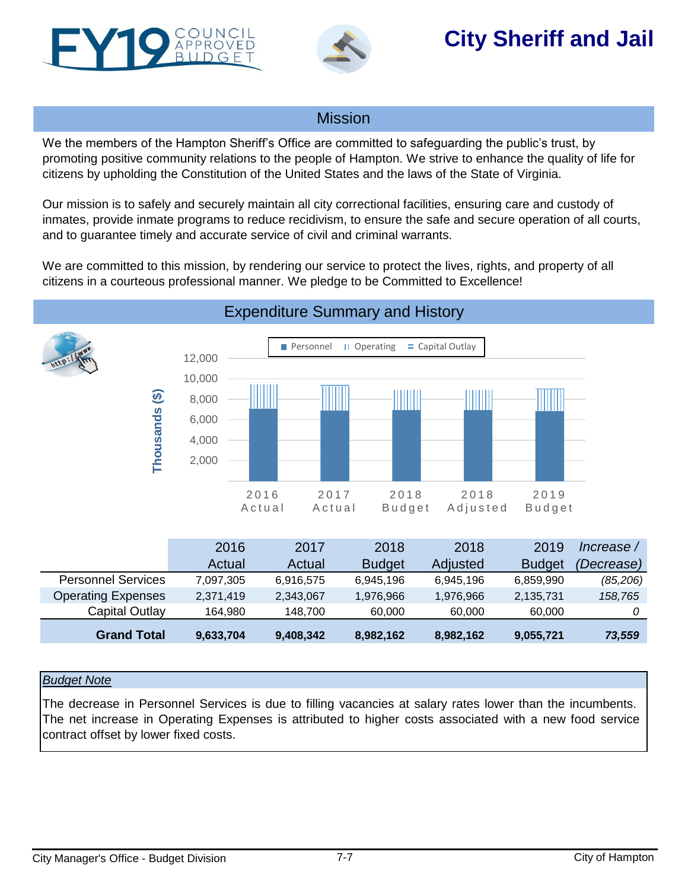<span id="page-6-0"></span>



# **City Sheriff and Jail**

### Mission

We the members of the Hampton Sheriff's Office are committed to safeguarding the public's trust, by promoting positive community relations to the people of Hampton. We strive to enhance the quality of life for citizens by upholding the Constitution of the United States and the laws of the State of Virginia.

Our mission is to safely and securely maintain all city correctional facilities, ensuring care and custody of inmates, provide inmate programs to reduce recidivism, to ensure the safe and secure operation of all courts, and to guarantee timely and accurate service of civil and criminal warrants.

We are committed to this mission, by rendering our service to protect the lives, rights, and property of all citizens in a courteous professional manner. We pledge to be Committed to Excellence!



### Expenditure Summary and History

|                           | 2016      | 2017      | 2018          | 2018      | 2019          | lncrease /        |
|---------------------------|-----------|-----------|---------------|-----------|---------------|-------------------|
|                           | Actual    | Actual    | <b>Budget</b> | Adjusted  | <b>Budget</b> | <i>(Decrease)</i> |
| <b>Personnel Services</b> | 7,097,305 | 6,916,575 | 6,945,196     | 6,945,196 | 6,859,990     | (85, 206)         |
| <b>Operating Expenses</b> | 2,371,419 | 2,343,067 | 1,976,966     | 1,976,966 | 2,135,731     | 158,765           |
| Capital Outlay            | 164,980   | 148.700   | 60.000        | 60.000    | 60.000        |                   |
| <b>Grand Total</b>        | 9,633,704 | 9,408,342 | 8,982,162     | 8,982,162 | 9,055,721     | 73,559            |

#### *Budget Note*

The decrease in Personnel Services is due to filling vacancies at salary rates lower than the incumbents. The net increase in Operating Expenses is attributed to higher costs associated with a new food service contract offset by lower fixed costs.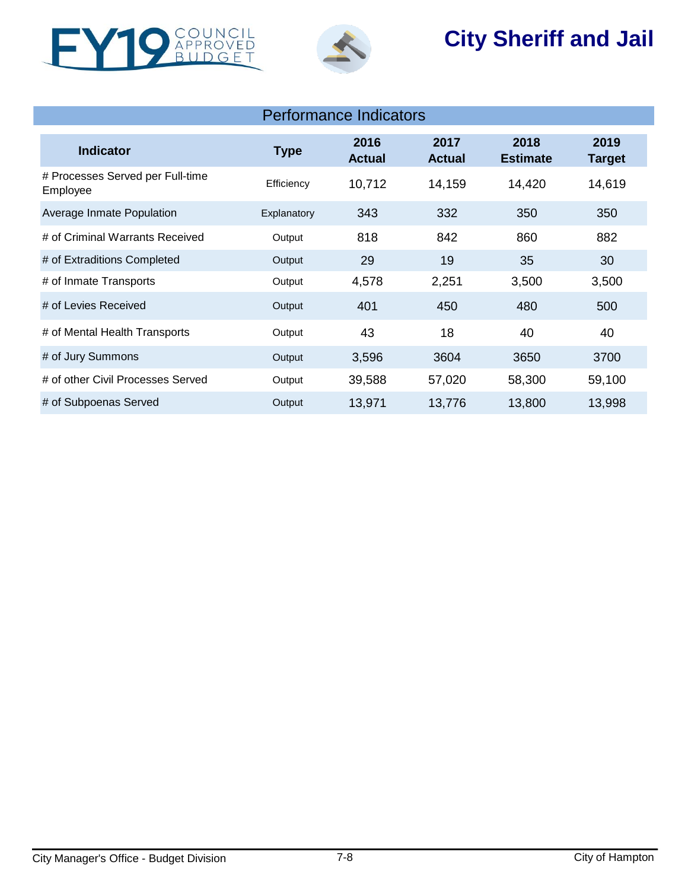



# **City Sheriff and Jail**

| <b>Indicator</b>                             | <b>Type</b> | 2016<br><b>Actual</b> | 2017<br><b>Actual</b> | 2018<br><b>Estimate</b> | 2019<br><b>Target</b> |
|----------------------------------------------|-------------|-----------------------|-----------------------|-------------------------|-----------------------|
| # Processes Served per Full-time<br>Employee | Efficiency  | 10,712                | 14,159                | 14,420                  | 14,619                |
| Average Inmate Population                    | Explanatory | 343                   | 332                   | 350                     | 350                   |
| # of Criminal Warrants Received              | Output      | 818                   | 842                   | 860                     | 882                   |
| # of Extraditions Completed                  | Output      | 29                    | 19                    | 35                      | 30                    |
| # of Inmate Transports                       | Output      | 4,578                 | 2,251                 | 3,500                   | 3,500                 |
| # of Levies Received                         | Output      | 401                   | 450                   | 480                     | 500                   |
| # of Mental Health Transports                | Output      | 43                    | 18                    | 40                      | 40                    |
| # of Jury Summons                            | Output      | 3,596                 | 3604                  | 3650                    | 3700                  |
| # of other Civil Processes Served            | Output      | 39,588                | 57,020                | 58,300                  | 59,100                |
| # of Subpoenas Served                        | Output      | 13,971                | 13,776                | 13,800                  | 13,998                |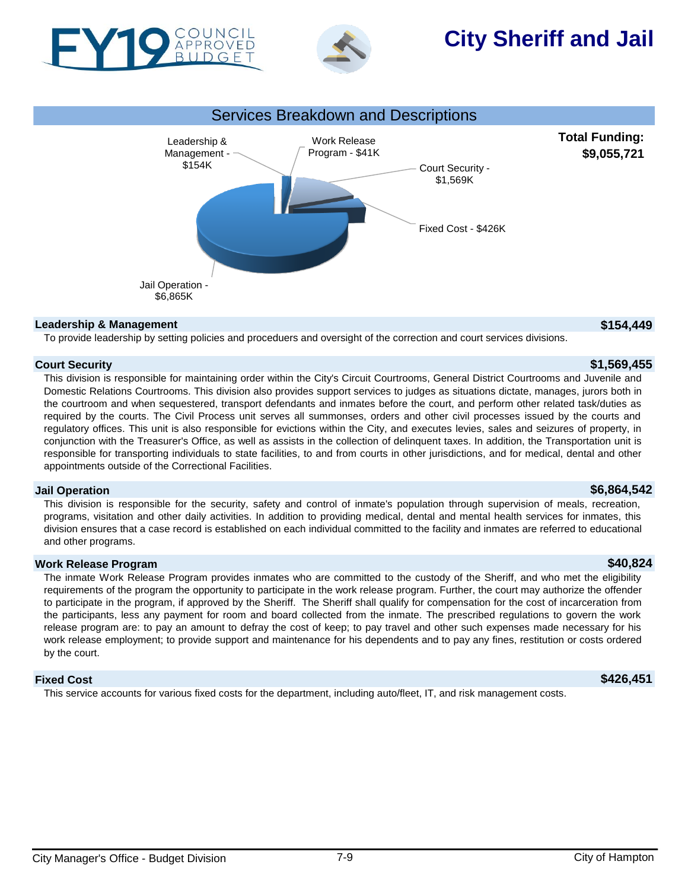



# **City Sheriff and Jail**



#### **Leadership & Management \$154,449**

To provide leadership by setting policies and proceduers and oversight of the correction and court services divisions.

#### **Court Security \$1,569,455**

This division is responsible for maintaining order within the City's Circuit Courtrooms, General District Courtrooms and Juvenile and Domestic Relations Courtrooms. This division also provides support services to judges as situations dictate, manages, jurors both in the courtroom and when sequestered, transport defendants and inmates before the court, and perform other related task/duties as required by the courts. The Civil Process unit serves all summonses, orders and other civil processes issued by the courts and regulatory offices. This unit is also responsible for evictions within the City, and executes levies, sales and seizures of property, in conjunction with the Treasurer's Office, as well as assists in the collection of delinquent taxes. In addition, the Transportation unit is responsible for transporting individuals to state facilities, to and from courts in other jurisdictions, and for medical, dental and other appointments outside of the Correctional Facilities.

#### **Jail Operation \$6,864,542**

This division is responsible for the security, safety and control of inmate's population through supervision of meals, recreation, programs, visitation and other daily activities. In addition to providing medical, dental and mental health services for inmates, this division ensures that a case record is established on each individual committed to the facility and inmates are referred to educational and other programs.

#### **Work Release Program \$40,824**

The inmate Work Release Program provides inmates who are committed to the custody of the Sheriff, and who met the eligibility requirements of the program the opportunity to participate in the work release program. Further, the court may authorize the offender to participate in the program, if approved by the Sheriff. The Sheriff shall qualify for compensation for the cost of incarceration from the participants, less any payment for room and board collected from the inmate. The prescribed regulations to govern the work release program are: to pay an amount to defray the cost of keep; to pay travel and other such expenses made necessary for his work release employment; to provide support and maintenance for his dependents and to pay any fines, restitution or costs ordered by the court.

#### **Fixed Cost \$426,451**

This service accounts for various fixed costs for the department, including auto/fleet, IT, and risk management costs.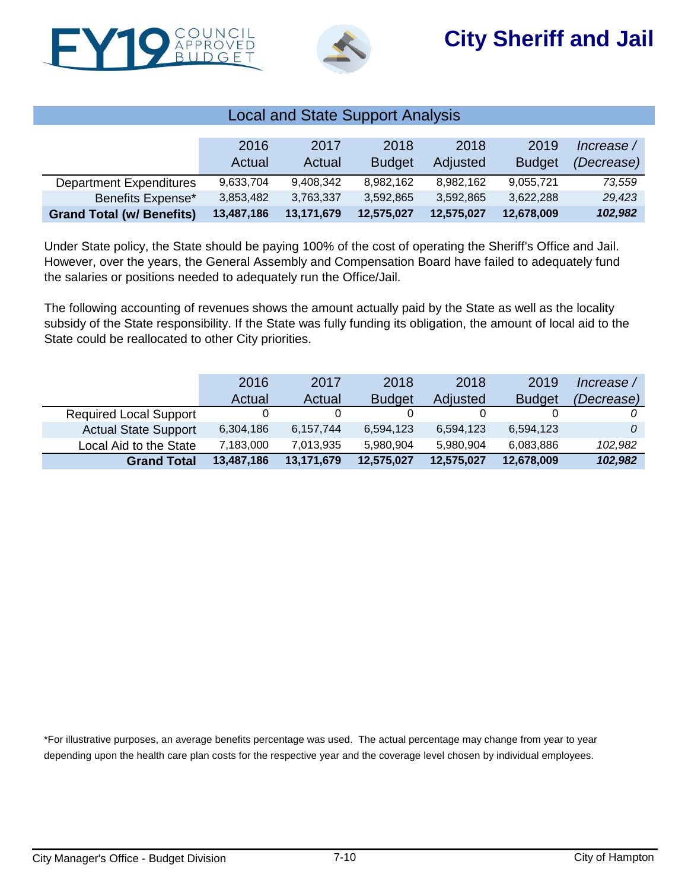



| <b>Local and State Support Analysis</b> |            |            |               |            |               |            |  |
|-----------------------------------------|------------|------------|---------------|------------|---------------|------------|--|
|                                         |            |            |               |            |               |            |  |
|                                         | 2016       | 2017       | 2018          | 2018       | 2019          | Increase / |  |
|                                         | Actual     | Actual     | <b>Budget</b> | Adjusted   | <b>Budget</b> | (Decrease) |  |
| <b>Department Expenditures</b>          | 9.633.704  | 9,408,342  | 8,982,162     | 8.982.162  | 9,055,721     | 73,559     |  |
| Benefits Expense*                       | 3,853,482  | 3,763,337  | 3,592,865     | 3,592,865  | 3,622,288     | 29,423     |  |
| <b>Grand Total (w/ Benefits)</b>        | 13,487,186 | 13,171,679 | 12,575,027    | 12,575,027 | 12,678,009    | 102,982    |  |

Under State policy, the State should be paying 100% of the cost of operating the Sheriff's Office and Jail. However, over the years, the General Assembly and Compensation Board have failed to adequately fund the salaries or positions needed to adequately run the Office/Jail.

The following accounting of revenues shows the amount actually paid by the State as well as the locality subsidy of the State responsibility. If the State was fully funding its obligation, the amount of local aid to the State could be reallocated to other City priorities.

|                               | 2016       | 2017       | 2018          | 2018       | 2019          | Increase / |
|-------------------------------|------------|------------|---------------|------------|---------------|------------|
|                               | Actual     | Actual     | <b>Budget</b> | Adjusted   | <b>Budget</b> | (Decrease) |
| <b>Required Local Support</b> |            |            |               |            |               |            |
| <b>Actual State Support</b>   | 6,304,186  | 6,157,744  | 6,594,123     | 6,594,123  | 6,594,123     |            |
| Local Aid to the State        | 7,183,000  | 7,013,935  | 5.980.904     | 5,980,904  | 6,083,886     | 102,982    |
| <b>Grand Total</b>            | 13,487,186 | 13,171,679 | 12,575,027    | 12,575,027 | 12,678,009    | 102,982    |

\*For illustrative purposes, an average benefits percentage was used. The actual percentage may change from year to year depending upon the health care plan costs for the respective year and the coverage level chosen by individual employees.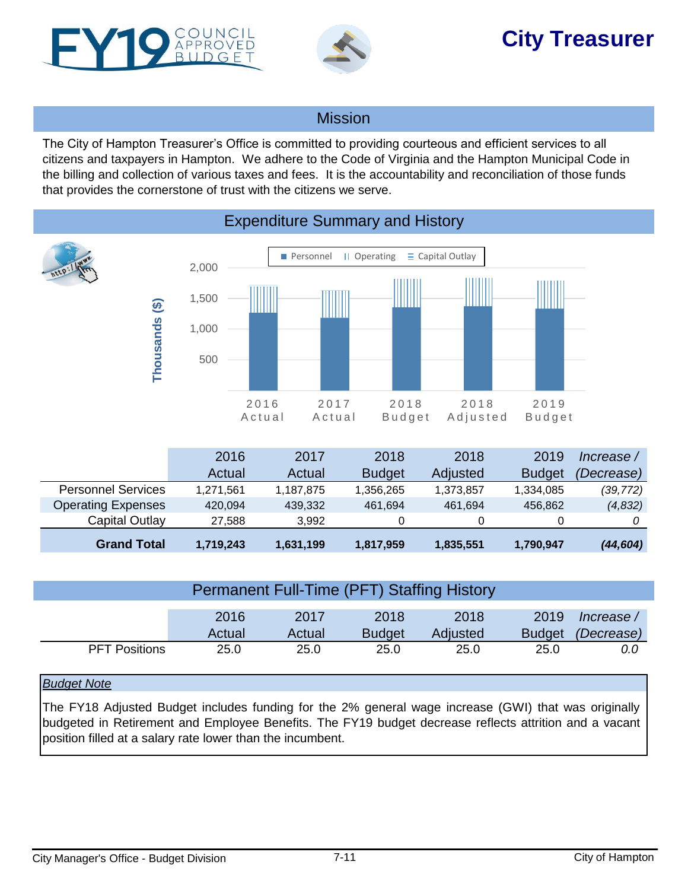<span id="page-10-0"></span>



# **City Treasurer**

### **Mission**

The City of Hampton Treasurer's Office is committed to providing courteous and efficient services to all citizens and taxpayers in Hampton. We adhere to the Code of Virginia and the Hampton Municipal Code in the billing and collection of various taxes and fees. It is the accountability and reconciliation of those funds that provides the cornerstone of trust with the citizens we serve.



### Expenditure Summary and History

|                           | 2016      | 2017      | 2018          | 2018      | 2019          | Increase / |
|---------------------------|-----------|-----------|---------------|-----------|---------------|------------|
|                           | Actual    | Actual    | <b>Budget</b> | Adjusted  | <b>Budget</b> | (Decrease) |
| <b>Personnel Services</b> | 1.271.561 | 1,187,875 | 1,356,265     | 1,373,857 | 1,334,085     | (39, 772)  |
| <b>Operating Expenses</b> | 420.094   | 439,332   | 461.694       | 461.694   | 456.862       | (4,832)    |
| Capital Outlay            | 27.588    | 3.992     | 0             | 0         |               |            |
| <b>Grand Total</b>        | 1,719,243 | 1,631,199 | 1,817,959     | 1,835,551 | 1,790,947     | (44, 604)  |

| Permanent Full-Time (PFT) Staffing History |        |        |               |          |               |            |  |
|--------------------------------------------|--------|--------|---------------|----------|---------------|------------|--|
|                                            |        |        |               |          |               |            |  |
|                                            | 2016   | 2017   | 2018          | 2018     | 2019          | lncrease / |  |
|                                            | Actual | Actual | <b>Budget</b> | Adjusted | <b>Budget</b> | (Decrease) |  |
| <b>PFT Positions</b>                       | 25.0   | 25.0   | 25.0          | 25.0     | 25.0          | 0.0        |  |

### *Budget Note*

The FY18 Adjusted Budget includes funding for the 2% general wage increase (GWI) that was originally budgeted in Retirement and Employee Benefits. The FY19 budget decrease reflects attrition and a vacant position filled at a salary rate lower than the incumbent.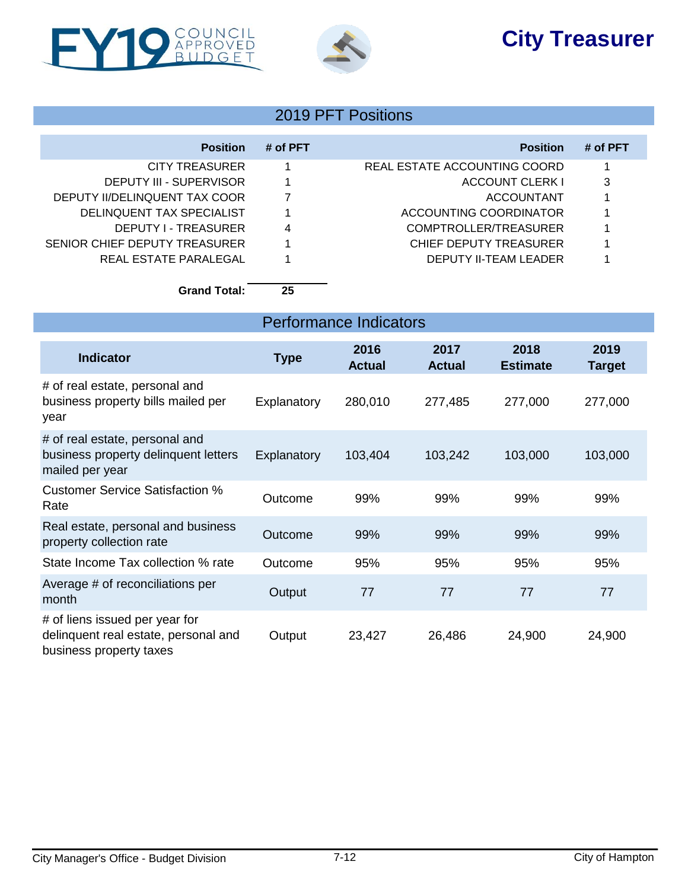# **City Treasurer**





### 2019 PFT Positions

| <b>Position</b>               | # of PFT | <b>Position</b>              | # of PFT |
|-------------------------------|----------|------------------------------|----------|
| CITY TREASURER                |          | REAL ESTATE ACCOUNTING COORD |          |
| DEPUTY III - SUPERVISOR       |          | ACCOUNT CLERK I              | 3        |
| DEPUTY II/DELINQUENT TAX COOR |          | <b>ACCOUNTANT</b>            |          |
| DELINQUENT TAX SPECIALIST     |          | ACCOUNTING COORDINATOR       |          |
| DEPUTY I - TREASURER          | 4        | COMPTROLLER/TREASURER        |          |
| SENIOR CHIEF DEPUTY TREASURER |          | CHIEF DEPUTY TREASURER       |          |
| REAL ESTATE PARALEGAL         |          | <b>DEPUTY II-TEAM LEADER</b> |          |

**Grand Total: 25**

| <b>Performance Indicators</b>                                                                     |             |                       |                       |                         |                       |  |
|---------------------------------------------------------------------------------------------------|-------------|-----------------------|-----------------------|-------------------------|-----------------------|--|
| <b>Indicator</b>                                                                                  | <b>Type</b> | 2016<br><b>Actual</b> | 2017<br><b>Actual</b> | 2018<br><b>Estimate</b> | 2019<br><b>Target</b> |  |
| # of real estate, personal and<br>business property bills mailed per<br>year                      | Explanatory | 280,010               | 277,485               | 277,000                 | 277,000               |  |
| # of real estate, personal and<br>business property delinquent letters<br>mailed per year         | Explanatory | 103,404               | 103,242               | 103,000                 | 103,000               |  |
| <b>Customer Service Satisfaction %</b><br>Rate                                                    | Outcome     | 99%                   | 99%                   | 99%                     | 99%                   |  |
| Real estate, personal and business<br>property collection rate                                    | Outcome     | 99%                   | 99%                   | 99%                     | 99%                   |  |
| State Income Tax collection % rate                                                                | Outcome     | 95%                   | 95%                   | 95%                     | 95%                   |  |
| Average # of reconciliations per<br>month                                                         | Output      | 77                    | 77                    | 77                      | 77                    |  |
| # of liens issued per year for<br>delinquent real estate, personal and<br>business property taxes | Output      | 23,427                | 26,486                | 24,900                  | 24,900                |  |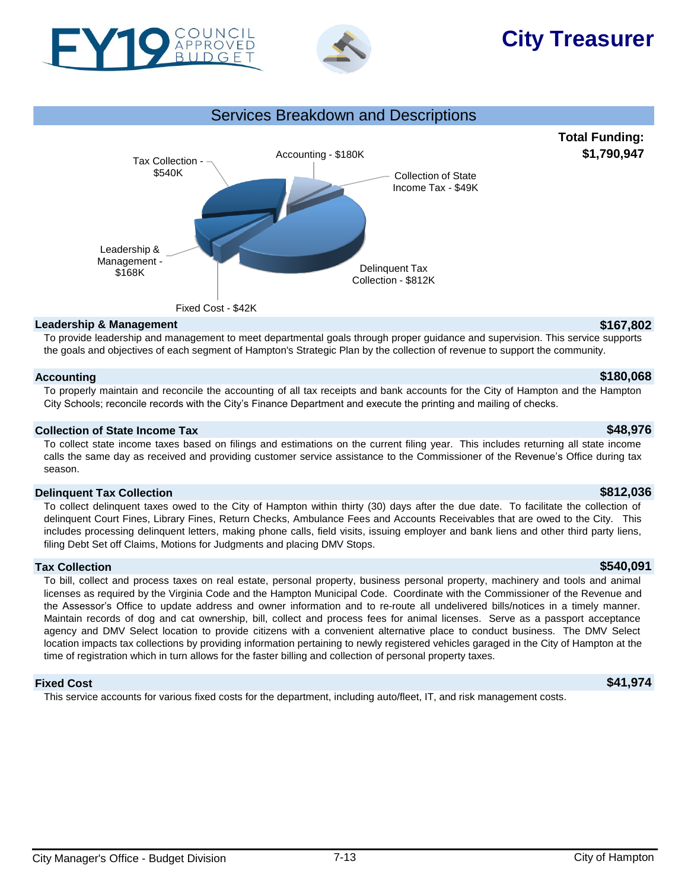



# **City Treasurer**





#### **Leadership & Management \$167,802**

To provide leadership and management to meet departmental goals through proper guidance and supervision. This service supports the goals and objectives of each segment of Hampton's Strategic Plan by the collection of revenue to support the community.

#### **Accounting \$180,068**

#### To properly maintain and reconcile the accounting of all tax receipts and bank accounts for the City of Hampton and the Hampton City Schools; reconcile records with the City's Finance Department and execute the printing and mailing of checks.

#### **Collection of State Income Tax \$48,976**

To collect state income taxes based on filings and estimations on the current filing year. This includes returning all state income calls the same day as received and providing customer service assistance to the Commissioner of the Revenue's Office during tax season.

#### **Delinquent Tax Collection \$812,036**

To collect delinquent taxes owed to the City of Hampton within thirty (30) days after the due date. To facilitate the collection of delinquent Court Fines, Library Fines, Return Checks, Ambulance Fees and Accounts Receivables that are owed to the City. This includes processing delinquent letters, making phone calls, field visits, issuing employer and bank liens and other third party liens, filing Debt Set off Claims, Motions for Judgments and placing DMV Stops.

#### **Tax Collection \$540,091**

To bill, collect and process taxes on real estate, personal property, business personal property, machinery and tools and animal licenses as required by the Virginia Code and the Hampton Municipal Code. Coordinate with the Commissioner of the Revenue and the Assessor's Office to update address and owner information and to re-route all undelivered bills/notices in a timely manner. Maintain records of dog and cat ownership, bill, collect and process fees for animal licenses. Serve as a passport acceptance agency and DMV Select location to provide citizens with a convenient alternative place to conduct business. The DMV Select location impacts tax collections by providing information pertaining to newly registered vehicles garaged in the City of Hampton at the time of registration which in turn allows for the faster billing and collection of personal property taxes.

#### **Fixed Cost \$41,974**

This service accounts for various fixed costs for the department, including auto/fleet, IT, and risk management costs.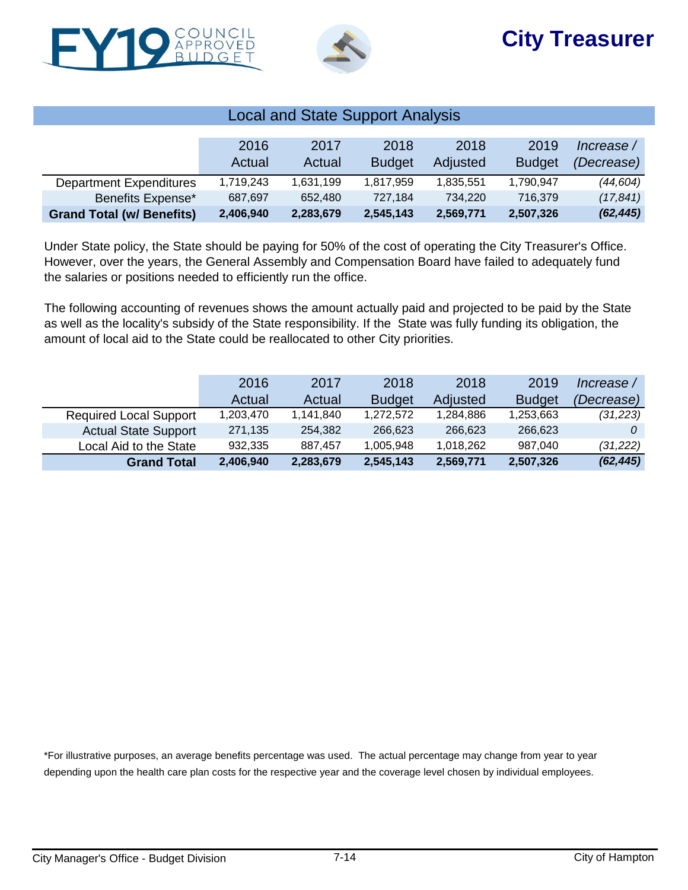



| <b>Local and State Support Analysis</b> |           |           |               |           |               |            |  |  |
|-----------------------------------------|-----------|-----------|---------------|-----------|---------------|------------|--|--|
|                                         |           |           |               |           |               |            |  |  |
|                                         | 2016      | 2017      | 2018          | 2018      | 2019          | Increase / |  |  |
|                                         | Actual    | Actual    | <b>Budget</b> | Adjusted  | <b>Budget</b> | (Decrease) |  |  |
| <b>Department Expenditures</b>          | 1.719.243 | 1,631,199 | 1,817,959     | 1,835,551 | 1,790,947     | (44, 604)  |  |  |
| Benefits Expense*                       | 687,697   | 652,480   | 727.184       | 734,220   | 716.379       | (17, 841)  |  |  |
| <b>Grand Total (w/ Benefits)</b>        | 2,406,940 | 2,283,679 | 2,545,143     | 2,569,771 | 2,507,326     | (62, 445)  |  |  |

Under State policy, the State should be paying for 50% of the cost of operating the City Treasurer's Office. However, over the years, the General Assembly and Compensation Board have failed to adequately fund the salaries or positions needed to efficiently run the office.

The following accounting of revenues shows the amount actually paid and projected to be paid by the State as well as the locality's subsidy of the State responsibility. If the State was fully funding its obligation, the amount of local aid to the State could be reallocated to other City priorities.

|                               | 2016      | 2017      | 2018          | 2018      | 2019          | Increase / |
|-------------------------------|-----------|-----------|---------------|-----------|---------------|------------|
|                               | Actual    | Actual    | <b>Budget</b> | Adjusted  | <b>Budget</b> | (Decrease) |
| <b>Required Local Support</b> | 1,203,470 | 1,141,840 | 1,272,572     | 1,284,886 | 1,253,663     | (31, 223)  |
| <b>Actual State Support</b>   | 271,135   | 254.382   | 266.623       | 266,623   | 266.623       |            |
| Local Aid to the State        | 932,335   | 887.457   | 1,005,948     | 1,018,262 | 987.040       | (31, 222)  |
| <b>Grand Total</b>            | 2,406,940 | 2,283,679 | 2,545,143     | 2,569,771 | 2,507,326     | (62, 445)  |

\*For illustrative purposes, an average benefits percentage was used. The actual percentage may change from year to year depending upon the health care plan costs for the respective year and the coverage level chosen by individual employees.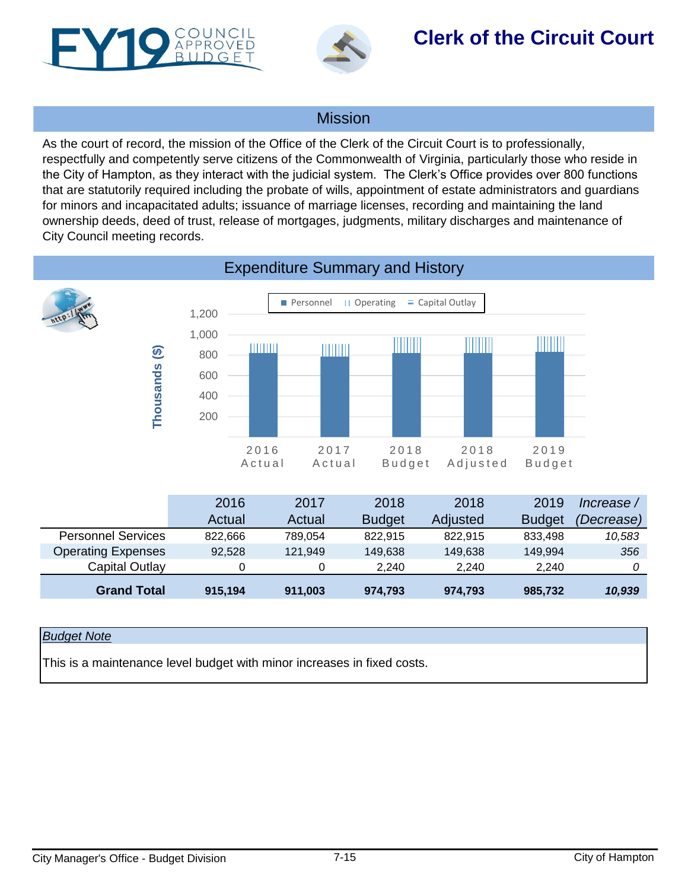<span id="page-14-0"></span>



## **Clerk of the Circuit Court**

### **Mission**

As the court of record, the mission of the Office of the Clerk of the Circuit Court is to professionally, respectfully and competently serve citizens of the Commonwealth of Virginia, particularly those who reside in the City of Hampton, as they interact with the judicial system. The Clerk's Office provides over 800 functions that are statutorily required including the probate of wills, appointment of estate administrators and guardians for minors and incapacitated adults; issuance of marriage licenses, recording and maintaining the land ownership deeds, deed of trust, release of mortgages, judgments, military discharges and maintenance of City Council meeting records.



#### *Budget Note*

This is a maintenance level budget with minor increases in fixed costs.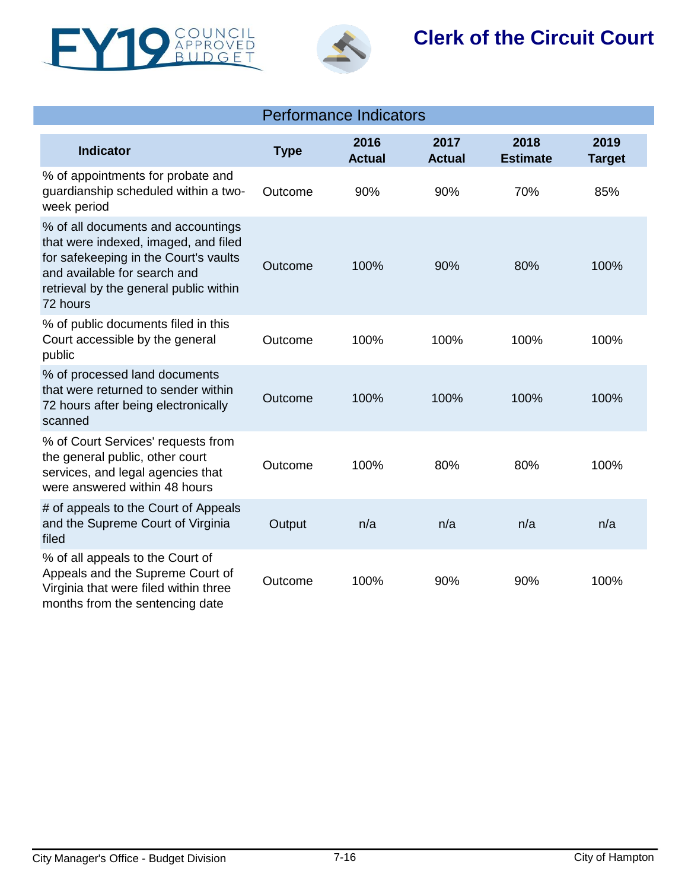



## **Clerk of the Circuit Court**

| <b>Performance Indicators</b>                                                                                                                                                                             |             |                       |                       |                         |                       |  |  |
|-----------------------------------------------------------------------------------------------------------------------------------------------------------------------------------------------------------|-------------|-----------------------|-----------------------|-------------------------|-----------------------|--|--|
| <b>Indicator</b>                                                                                                                                                                                          | <b>Type</b> | 2016<br><b>Actual</b> | 2017<br><b>Actual</b> | 2018<br><b>Estimate</b> | 2019<br><b>Target</b> |  |  |
| % of appointments for probate and<br>guardianship scheduled within a two-<br>week period                                                                                                                  | Outcome     | 90%                   | 90%                   | 70%                     | 85%                   |  |  |
| % of all documents and accountings<br>that were indexed, imaged, and filed<br>for safekeeping in the Court's vaults<br>and available for search and<br>retrieval by the general public within<br>72 hours | Outcome     | 100%                  | 90%                   | 80%                     | 100%                  |  |  |
| % of public documents filed in this<br>Court accessible by the general<br>public                                                                                                                          | Outcome     | 100%                  | 100%                  | 100%                    | 100%                  |  |  |
| % of processed land documents<br>that were returned to sender within<br>72 hours after being electronically<br>scanned                                                                                    | Outcome     | 100%                  | 100%                  | 100%                    | 100%                  |  |  |
| % of Court Services' requests from<br>the general public, other court<br>services, and legal agencies that<br>were answered within 48 hours                                                               | Outcome     | 100%                  | 80%                   | 80%                     | 100%                  |  |  |
| # of appeals to the Court of Appeals<br>and the Supreme Court of Virginia<br>filed                                                                                                                        | Output      | n/a                   | n/a                   | n/a                     | n/a                   |  |  |
| % of all appeals to the Court of<br>Appeals and the Supreme Court of<br>Virginia that were filed within three<br>months from the sentencing date                                                          | Outcome     | 100%                  | 90%                   | 90%                     | 100%                  |  |  |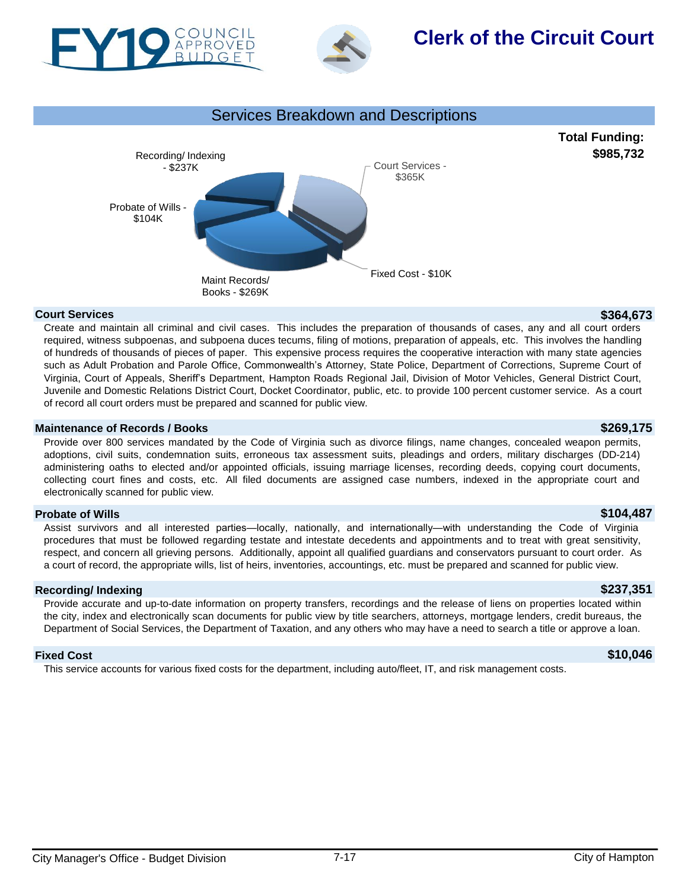



## **Clerk of the Circuit Court**





#### **Court Services \$364,673**

Create and maintain all criminal and civil cases. This includes the preparation of thousands of cases, any and all court orders required, witness subpoenas, and subpoena duces tecums, filing of motions, preparation of appeals, etc. This involves the handling of hundreds of thousands of pieces of paper. This expensive process requires the cooperative interaction with many state agencies such as Adult Probation and Parole Office, Commonwealth's Attorney, State Police, Department of Corrections, Supreme Court of Virginia, Court of Appeals, Sheriff's Department, Hampton Roads Regional Jail, Division of Motor Vehicles, General District Court, Juvenile and Domestic Relations District Court, Docket Coordinator, public, etc. to provide 100 percent customer service. As a court of record all court orders must be prepared and scanned for public view.

#### **Maintenance of Records / Books \$269,175**

Provide over 800 services mandated by the Code of Virginia such as divorce filings, name changes, concealed weapon permits, adoptions, civil suits, condemnation suits, erroneous tax assessment suits, pleadings and orders, military discharges (DD-214) administering oaths to elected and/or appointed officials, issuing marriage licenses, recording deeds, copying court documents, collecting court fines and costs, etc. All filed documents are assigned case numbers, indexed in the appropriate court and electronically scanned for public view.

#### **Probate of Wills \$104,487**

Assist survivors and all interested parties—locally, nationally, and internationally—with understanding the Code of Virginia procedures that must be followed regarding testate and intestate decedents and appointments and to treat with great sensitivity, respect, and concern all grieving persons. Additionally, appoint all qualified guardians and conservators pursuant to court order. As a court of record, the appropriate wills, list of heirs, inventories, accountings, etc. must be prepared and scanned for public view.

#### **Recording/ Indexing \$237,351**

Provide accurate and up-to-date information on property transfers, recordings and the release of liens on properties located within the city, index and electronically scan documents for public view by title searchers, attorneys, mortgage lenders, credit bureaus, the Department of Social Services, the Department of Taxation, and any others who may have a need to search a title or approve a loan.

#### **Fixed Cost \$10,046**

This service accounts for various fixed costs for the department, including auto/fleet, IT, and risk management costs.

**Total Funding:**

**\$985,732**

City Manager's Office - Budget Division **7-17** 7-17 **City Manager's Office - Budget Division**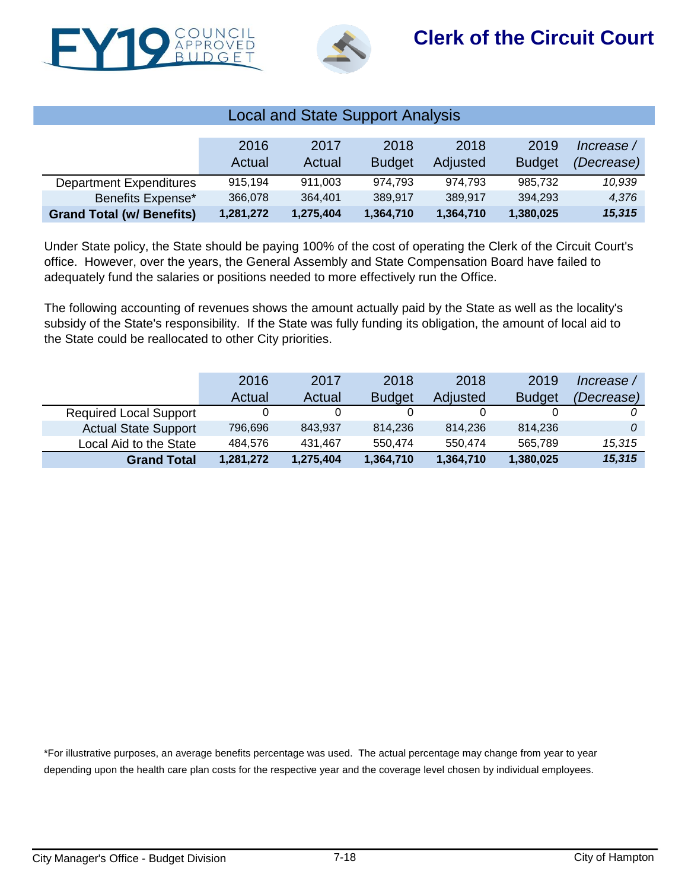



| <b>Local and State Support Analysis</b> |           |           |               |           |               |            |  |  |
|-----------------------------------------|-----------|-----------|---------------|-----------|---------------|------------|--|--|
|                                         |           |           |               |           |               |            |  |  |
|                                         | 2016      | 2017      | 2018          | 2018      | 2019          | Increase / |  |  |
|                                         | Actual    | Actual    | <b>Budget</b> | Adjusted  | <b>Budget</b> | (Decrease) |  |  |
| <b>Department Expenditures</b>          | 915.194   | 911.003   | 974.793       | 974.793   | 985.732       | 10,939     |  |  |
| Benefits Expense*                       | 366,078   | 364,401   | 389,917       | 389,917   | 394,293       | 4,376      |  |  |
| <b>Grand Total (w/ Benefits)</b>        | 1,281,272 | 1,275,404 | 1,364,710     | 1,364,710 | 1,380,025     | 15,315     |  |  |

Under State policy, the State should be paying 100% of the cost of operating the Clerk of the Circuit Court's office. However, over the years, the General Assembly and State Compensation Board have failed to adequately fund the salaries or positions needed to more effectively run the Office.

The following accounting of revenues shows the amount actually paid by the State as well as the locality's subsidy of the State's responsibility. If the State was fully funding its obligation, the amount of local aid to the State could be reallocated to other City priorities.

|                               | 2016      | 2017      | 2018          | 2018      | 2019          | Increase / |
|-------------------------------|-----------|-----------|---------------|-----------|---------------|------------|
|                               | Actual    | Actual    | <b>Budget</b> | Adjusted  | <b>Budget</b> | (Decrease) |
| <b>Required Local Support</b> |           |           |               |           |               |            |
| <b>Actual State Support</b>   | 796.696   | 843.937   | 814.236       | 814.236   | 814.236       |            |
| Local Aid to the State        | 484.576   | 431.467   | 550.474       | 550.474   | 565.789       | 15,315     |
| <b>Grand Total</b>            | 1,281,272 | 1,275,404 | 1,364,710     | 1,364,710 | 1,380,025     | 15,315     |

\*For illustrative purposes, an average benefits percentage was used. The actual percentage may change from year to year depending upon the health care plan costs for the respective year and the coverage level chosen by individual employees.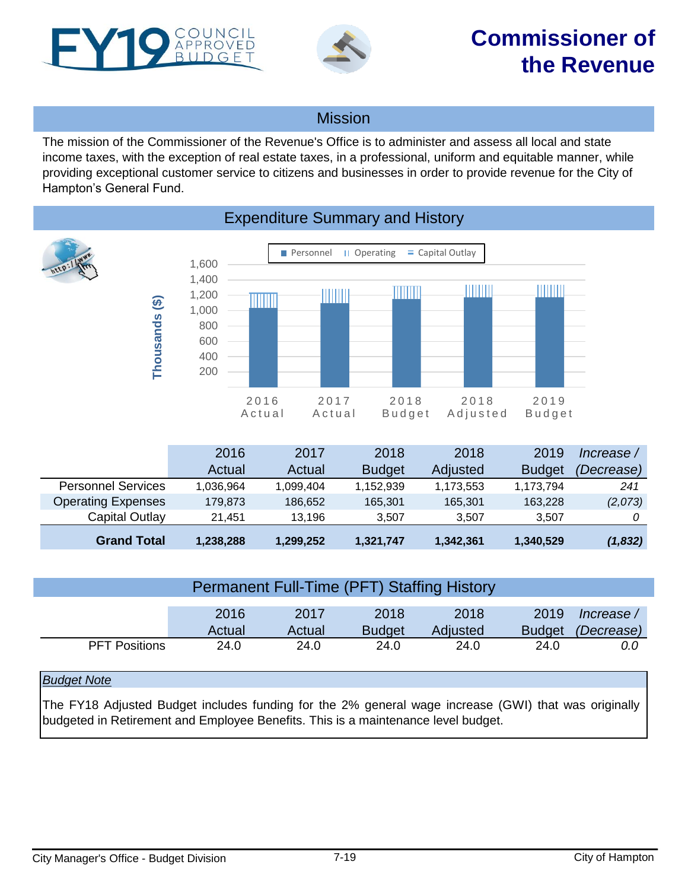<span id="page-18-0"></span>



### Mission

The mission of the Commissioner of the Revenue's Office is to administer and assess all local and state income taxes, with the exception of real estate taxes, in a professional, uniform and equitable manner, while providing exceptional customer service to citizens and businesses in order to provide revenue for the City of Hampton's General Fund.



### Expenditure Summary and History

|                           | 2016      | 2017      | 2018          | 2018      | 2019          | Increase / |
|---------------------------|-----------|-----------|---------------|-----------|---------------|------------|
|                           | Actual    | Actual    | <b>Budget</b> | Adjusted  | <b>Budget</b> | (Decrease) |
| <b>Personnel Services</b> | 1.036.964 | 1.099.404 | 1,152,939     | 1,173,553 | 1,173,794     | 241        |
| <b>Operating Expenses</b> | 179.873   | 186,652   | 165.301       | 165.301   | 163.228       | (2,073)    |
| Capital Outlay            | 21.451    | 13.196    | 3.507         | 3.507     | 3.507         |            |
| <b>Grand Total</b>        | 1,238,288 | 1,299,252 | 1,321,747     | 1,342,361 | 1,340,529     | (1,832)    |

| <b>Permanent Full-Time (PFT) Staffing History</b> |        |        |               |          |               |            |  |  |  |
|---------------------------------------------------|--------|--------|---------------|----------|---------------|------------|--|--|--|
|                                                   |        |        |               |          |               |            |  |  |  |
|                                                   | 2016   | 2017   | 2018          | 2018     | 2019          | Increase / |  |  |  |
|                                                   | Actual | Actual | <b>Budget</b> | Adjusted | <b>Budget</b> | (Decrease) |  |  |  |
| <b>PFT Positions</b>                              | 24.0   | 24.0   | 24.0          | 24.0     | 24.0          | 0.0        |  |  |  |
|                                                   |        |        |               |          |               |            |  |  |  |

#### *Budget Note*

The FY18 Adjusted Budget includes funding for the 2% general wage increase (GWI) that was originally budgeted in Retirement and Employee Benefits. This is a maintenance level budget.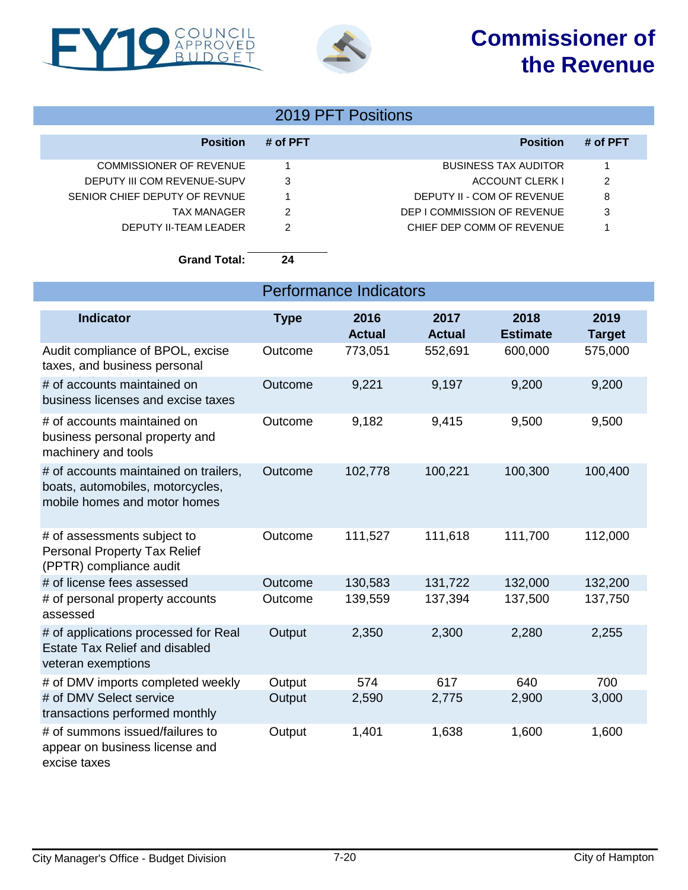## **Commissioner of the Revenue**





### 2019 PFT Positions

| <b>Position</b>               | # of PFT | <b>Position</b>             | # of PFT |
|-------------------------------|----------|-----------------------------|----------|
| COMMISSIONER OF REVENUE       |          | <b>BUSINESS TAX AUDITOR</b> |          |
| DEPUTY III COM REVENUE-SUPV   | 3        | ACCOUNT CLERK I             | 2        |
| SENIOR CHIEF DEPUTY OF REVNUE |          | DEPUTY II - COM OF REVENUE  | 8        |
| TAX MANAGER                   | 2        | DEP I COMMISSION OF REVENUE | 3        |
| DEPUTY II-TEAM LEADER         |          | CHIEF DEP COMM OF REVENUE   |          |
|                               |          |                             |          |

**Grand Total: 24**

| <b>Performance Indicators</b>                                                                             |             |                       |                       |                         |                       |  |  |  |
|-----------------------------------------------------------------------------------------------------------|-------------|-----------------------|-----------------------|-------------------------|-----------------------|--|--|--|
| <b>Indicator</b>                                                                                          | <b>Type</b> | 2016<br><b>Actual</b> | 2017<br><b>Actual</b> | 2018<br><b>Estimate</b> | 2019<br><b>Target</b> |  |  |  |
| Audit compliance of BPOL, excise<br>taxes, and business personal                                          | Outcome     | 773,051               | 552,691               | 600,000                 | 575,000               |  |  |  |
| # of accounts maintained on<br>business licenses and excise taxes                                         | Outcome     | 9,221                 | 9,197                 | 9,200                   | 9,200                 |  |  |  |
| # of accounts maintained on<br>business personal property and<br>machinery and tools                      | Outcome     | 9,182                 | 9,415                 | 9,500                   | 9,500                 |  |  |  |
| # of accounts maintained on trailers,<br>boats, automobiles, motorcycles,<br>mobile homes and motor homes | Outcome     | 102,778               | 100,221               | 100,300                 | 100,400               |  |  |  |
| # of assessments subject to<br><b>Personal Property Tax Relief</b><br>(PPTR) compliance audit             | Outcome     | 111,527               | 111,618               | 111,700                 | 112,000               |  |  |  |
| # of license fees assessed                                                                                | Outcome     | 130,583               | 131,722               | 132,000                 | 132,200               |  |  |  |
| # of personal property accounts<br>assessed                                                               | Outcome     | 139,559               | 137,394               | 137,500                 | 137,750               |  |  |  |
| # of applications processed for Real<br><b>Estate Tax Relief and disabled</b><br>veteran exemptions       | Output      | 2,350                 | 2,300                 | 2,280                   | 2,255                 |  |  |  |
| # of DMV imports completed weekly                                                                         | Output      | 574                   | 617                   | 640                     | 700                   |  |  |  |
| # of DMV Select service<br>transactions performed monthly                                                 | Output      | 2,590                 | 2,775                 | 2,900                   | 3,000                 |  |  |  |
| # of summons issued/failures to<br>appear on business license and<br>excise taxes                         | Output      | 1,401                 | 1,638                 | 1,600                   | 1,600                 |  |  |  |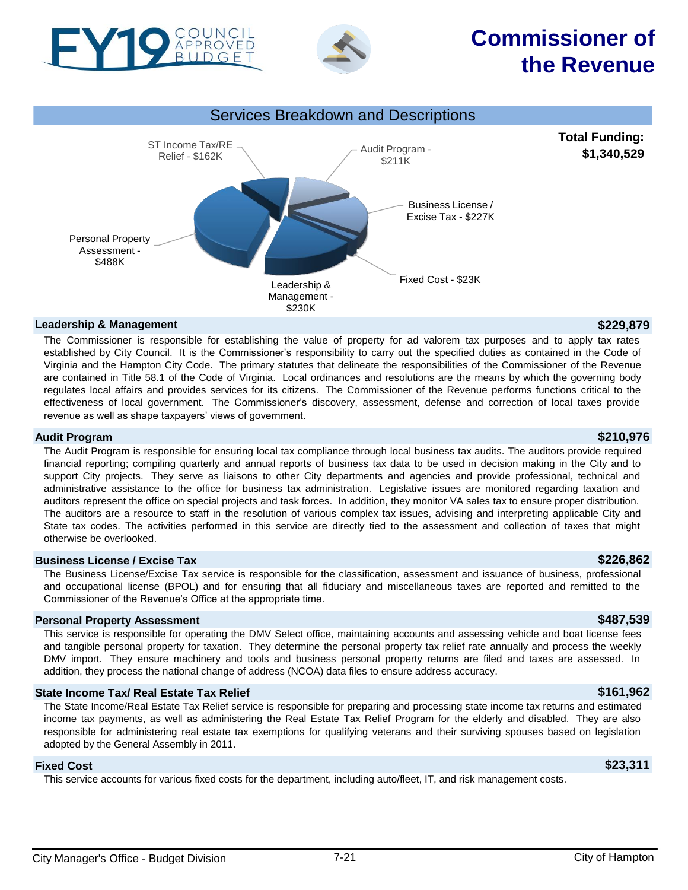

BUDGET

Personal Property Assessment - \$488K

**Leadership & Management \$229,879** The Commissioner is responsible for establishing the value of property for ad valorem tax purposes and to apply tax rates established by City Council. It is the Commissioner's responsibility to carry out the specified duties as contained in the Code of Virginia and the Hampton City Code. The primary statutes that delineate the responsibilities of the Commissioner of the Revenue are contained in Title 58.1 of the Code of Virginia. Local ordinances and resolutions are the means by which the governing body regulates local affairs and provides services for its citizens. The Commissioner of the Revenue performs functions critical to the effectiveness of local government. The Commissioner's discovery, assessment, defense and correction of local taxes provide revenue as well as shape taxpayers' views of government.

Management - \$230K

Audit Program - \$211K

Fixed Cost - \$23K Leadership &

Business License / Excise Tax - \$227K

### **Audit Program \$210,976**

The Audit Program is responsible for ensuring local tax compliance through local business tax audits. The auditors provide required financial reporting; compiling quarterly and annual reports of business tax data to be used in decision making in the City and to support City projects. They serve as liaisons to other City departments and agencies and provide professional, technical and administrative assistance to the office for business tax administration. Legislative issues are monitored regarding taxation and auditors represent the office on special projects and task forces. In addition, they monitor VA sales tax to ensure proper distribution. The auditors are a resource to staff in the resolution of various complex tax issues, advising and interpreting applicable City and State tax codes. The activities performed in this service are directly tied to the assessment and collection of taxes that might otherwise be overlooked.

#### **Business License / Excise Tax \$226,862**

The Business License/Excise Tax service is responsible for the classification, assessment and issuance of business, professional and occupational license (BPOL) and for ensuring that all fiduciary and miscellaneous taxes are reported and remitted to the Commissioner of the Revenue's Office at the appropriate time.

### **Personal Property Assessment \$487,539**

This service is responsible for operating the DMV Select office, maintaining accounts and assessing vehicle and boat license fees and tangible personal property for taxation. They determine the personal property tax relief rate annually and process the weekly DMV import. They ensure machinery and tools and business personal property returns are filed and taxes are assessed. In addition, they process the national change of address (NCOA) data files to ensure address accuracy.

### **State Income Tax/ Real Estate Tax Relief \$161,962**

The State Income/Real Estate Tax Relief service is responsible for preparing and processing state income tax returns and estimated income tax payments, as well as administering the Real Estate Tax Relief Program for the elderly and disabled. They are also responsible for administering real estate tax exemptions for qualifying veterans and their surviving spouses based on legislation adopted by the General Assembly in 2011.

### **Fixed Cost \$23,311**

This service accounts for various fixed costs for the department, including auto/fleet, IT, and risk management costs.

**Commissioner of**

**the Revenue**

**Total Funding: \$1,340,529**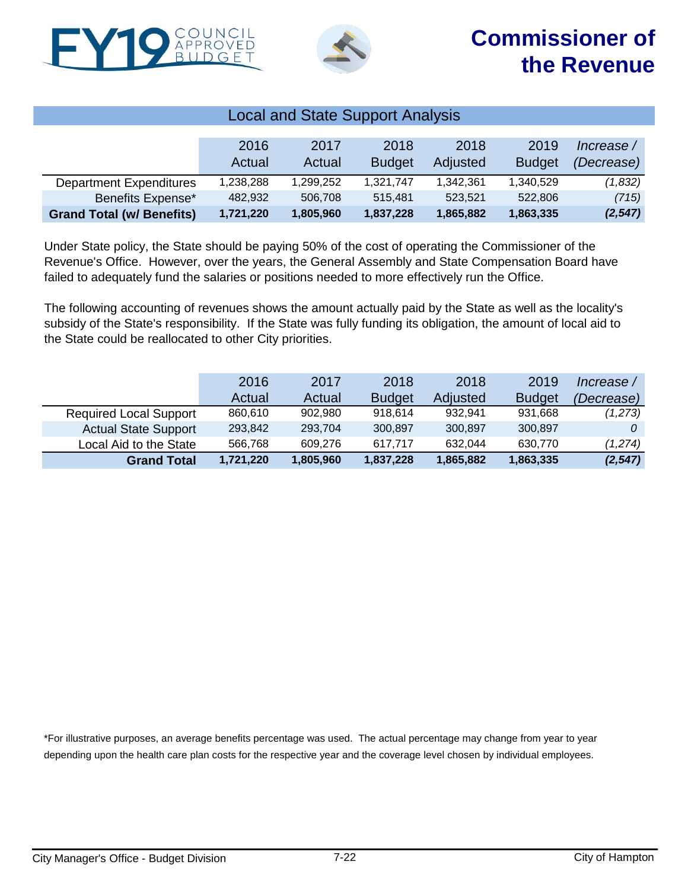



| <b>Local and State Support Analysis</b> |           |           |               |           |               |            |  |  |
|-----------------------------------------|-----------|-----------|---------------|-----------|---------------|------------|--|--|
|                                         |           |           |               |           |               |            |  |  |
|                                         | 2016      | 2017      | 2018          | 2018      | 2019          | Increase / |  |  |
|                                         | Actual    | Actual    | <b>Budget</b> | Adjusted  | <b>Budget</b> | (Decrease) |  |  |
| <b>Department Expenditures</b>          | 1.238.288 | 1,299,252 | 1.321.747     | 1,342,361 | 1,340,529     | (1,832)    |  |  |
| Benefits Expense*                       | 482,932   | 506,708   | 515.481       | 523.521   | 522,806       | (715)      |  |  |
| <b>Grand Total (w/ Benefits)</b>        | 1,721,220 | 1,805,960 | 1,837,228     | 1,865,882 | 1,863,335     | (2, 547)   |  |  |

Under State policy, the State should be paying 50% of the cost of operating the Commissioner of the Revenue's Office. However, over the years, the General Assembly and State Compensation Board have failed to adequately fund the salaries or positions needed to more effectively run the Office.

The following accounting of revenues shows the amount actually paid by the State as well as the locality's subsidy of the State's responsibility. If the State was fully funding its obligation, the amount of local aid to the State could be reallocated to other City priorities.

|                               | 2016      | 2017      | 2018          | 2018      | 2019          | Increase / |
|-------------------------------|-----------|-----------|---------------|-----------|---------------|------------|
|                               | Actual    | Actual    | <b>Budget</b> | Adjusted  | <b>Budget</b> | (Decrease) |
| <b>Required Local Support</b> | 860.610   | 902,980   | 918.614       | 932.941   | 931.668       | (1,273)    |
| <b>Actual State Support</b>   | 293.842   | 293.704   | 300.897       | 300,897   | 300,897       |            |
| Local Aid to the State        | 566.768   | 609.276   | 617.717       | 632.044   | 630,770       | (1,274)    |
| <b>Grand Total</b>            | 1,721,220 | 1,805,960 | 1,837,228     | 1,865,882 | 1,863,335     | (2, 547)   |

\*For illustrative purposes, an average benefits percentage was used. The actual percentage may change from year to year depending upon the health care plan costs for the respective year and the coverage level chosen by individual employees.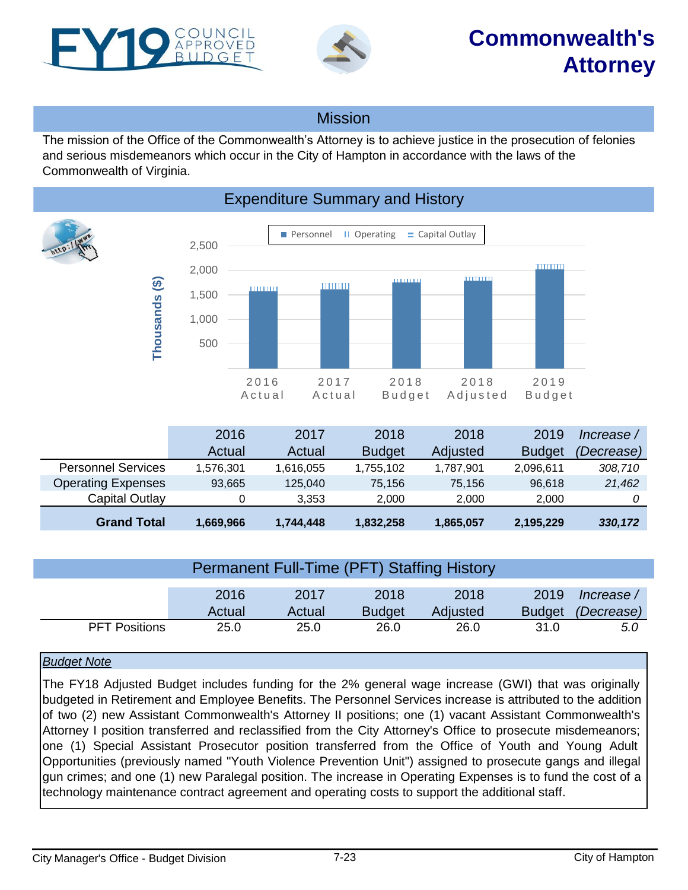<span id="page-22-0"></span>



### Mission

The mission of the Office of the Commonwealth's Attorney is to achieve justice in the prosecution of felonies and serious misdemeanors which occur in the City of Hampton in accordance with the laws of the Commonwealth of Virginia.



|                           | 2016      | 2017      | 2018          | 2018      | 2019          | lncrease /        |
|---------------------------|-----------|-----------|---------------|-----------|---------------|-------------------|
|                           | Actual    | Actual    | <b>Budget</b> | Adjusted  | <b>Budget</b> | <i>(Decrease)</i> |
| <b>Personnel Services</b> | 1,576,301 | 1,616,055 | 1,755,102     | 1,787,901 | 2,096,611     | 308,710           |
| <b>Operating Expenses</b> | 93,665    | 125,040   | 75.156        | 75.156    | 96,618        | 21,462            |
| Capital Outlay            |           | 3.353     | 2.000         | 2.000     | 2.000         |                   |
| <b>Grand Total</b>        | 1,669,966 | 1,744,448 | 1,832,258     | 1,865,057 | 2,195,229     | 330,172           |

| <b>Permanent Full-Time (PFT) Staffing History</b> |        |        |               |          |               |            |  |  |
|---------------------------------------------------|--------|--------|---------------|----------|---------------|------------|--|--|
|                                                   | 2016   | 2017   | 2018          | 2018     | 2019          | Increase / |  |  |
|                                                   | Actual | Actual | <b>Budget</b> | Adjusted | <b>Budget</b> | (Decrease) |  |  |
| <b>PFT Positions</b>                              | 25.0   | 25.0   | 26.0          | 26.0     | 31.0          | 5.0        |  |  |

#### *Budget Note*

The FY18 Adjusted Budget includes funding for the 2% general wage increase (GWI) that was originally budgeted in Retirement and Employee Benefits. The Personnel Services increase is attributed to the addition of two (2) new Assistant Commonwealth's Attorney II positions; one (1) vacant Assistant Commonwealth's Attorney I position transferred and reclassified from the City Attorney's Office to prosecute misdemeanors; one (1) Special Assistant Prosecutor position transferred from the Office of Youth and Young Adult Opportunities (previously named "Youth Violence Prevention Unit") assigned to prosecute gangs and illegal gun crimes; and one (1) new Paralegal position. The increase in Operating Expenses is to fund the cost of a technology maintenance contract agreement and operating costs to support the additional staff.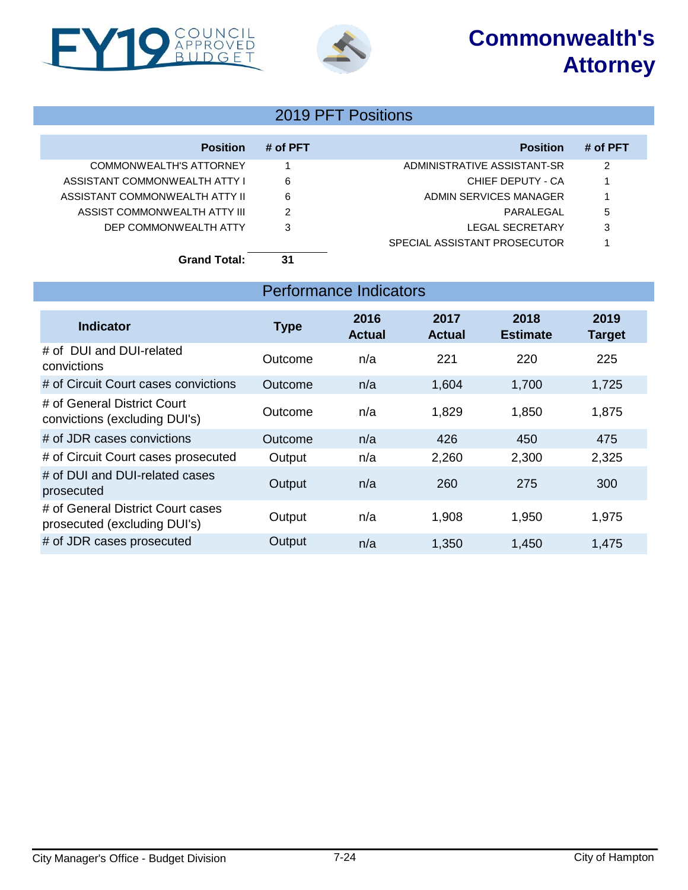# **Commonwealth's Attorney**





### 2019 PFT Positions

| <b>Position</b>                | # of PFT | <b>Position</b>              | # of PFT |
|--------------------------------|----------|------------------------------|----------|
| COMMONWEALTH'S ATTORNEY        |          | ADMINISTRATIVE ASSISTANT-SR  | 2        |
| ASSISTANT COMMONWEALTH ATTY I  | 6        | CHIEF DEPUTY - CA            |          |
| ASSISTANT COMMONWEALTH ATTY II | 6        | ADMIN SERVICES MANAGER       |          |
| ASSIST COMMONWEALTH ATTY III   | 2        | PARAL FGAL                   | 5        |
| DEP COMMONWEALTH ATTY          | 3        | LEGAL SECRETARY              | 3        |
|                                |          | SPECIAL ASSISTANT PROSECUTOR |          |
| <b>Grand Total:</b>            | 31       |                              |          |

|                                                                   |             | Performance Indicators |                       |                         |                       |
|-------------------------------------------------------------------|-------------|------------------------|-----------------------|-------------------------|-----------------------|
| <b>Indicator</b>                                                  | <b>Type</b> | 2016<br><b>Actual</b>  | 2017<br><b>Actual</b> | 2018<br><b>Estimate</b> | 2019<br><b>Target</b> |
| # of DUI and DUI-related<br>convictions                           | Outcome     | n/a                    | 221                   | 220                     | 225                   |
| # of Circuit Court cases convictions                              | Outcome     | n/a                    | 1,604                 | 1,700                   | 1,725                 |
| # of General District Court<br>convictions (excluding DUI's)      | Outcome     | n/a                    | 1,829                 | 1,850                   | 1,875                 |
| # of JDR cases convictions                                        | Outcome     | n/a                    | 426                   | 450                     | 475                   |
| # of Circuit Court cases prosecuted                               | Output      | n/a                    | 2,260                 | 2,300                   | 2,325                 |
| # of DUI and DUI-related cases<br>prosecuted                      | Output      | n/a                    | 260                   | 275                     | 300                   |
| # of General District Court cases<br>prosecuted (excluding DUI's) | Output      | n/a                    | 1,908                 | 1,950                   | 1,975                 |
| # of JDR cases prosecuted                                         | Output      | n/a                    | 1,350                 | 1,450                   | 1,475                 |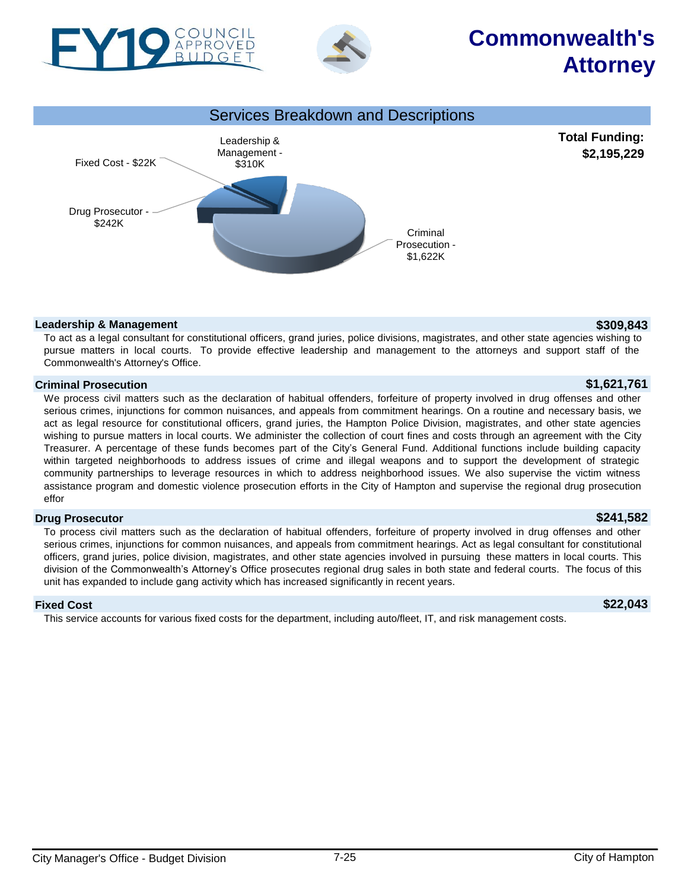

PROVED



Drug Prosecutor - \$242K

#### To act as a legal consultant for constitutional officers, grand juries, police divisions, magistrates, and other state agencies wishing to pursue matters in local courts. To provide effective leadership and management to the attorneys and support staff of the Commonwealth's Attorney's Office.

Criminal Prosecution - \$1,622K

### **Criminal Prosecution \$1,621,761**

We process civil matters such as the declaration of habitual offenders, forfeiture of property involved in drug offenses and other serious crimes, injunctions for common nuisances, and appeals from commitment hearings. On a routine and necessary basis, we act as legal resource for constitutional officers, grand juries, the Hampton Police Division, magistrates, and other state agencies wishing to pursue matters in local courts. We administer the collection of court fines and costs through an agreement with the City Treasurer. A percentage of these funds becomes part of the City's General Fund. Additional functions include building capacity within targeted neighborhoods to address issues of crime and illegal weapons and to support the development of strategic community partnerships to leverage resources in which to address neighborhood issues. We also supervise the victim witness assistance program and domestic violence prosecution efforts in the City of Hampton and supervise the regional drug prosecution effor

### **Drug Prosecutor \$241,582**

To process civil matters such as the declaration of habitual offenders, forfeiture of property involved in drug offenses and other serious crimes, injunctions for common nuisances, and appeals from commitment hearings. Act as legal consultant for constitutional officers, grand juries, police division, magistrates, and other state agencies involved in pursuing these matters in local courts. This division of the Commonwealth's Attorney's Office prosecutes regional drug sales in both state and federal courts. The focus of this unit has expanded to include gang activity which has increased significantly in recent years.

#### **Fixed Cost \$22,043**

This service accounts for various fixed costs for the department, including auto/fleet, IT, and risk management costs.

# **Commonwealth's Attorney**

**Total Funding: \$2,195,229**

#### **Leadership & Management \$309,843**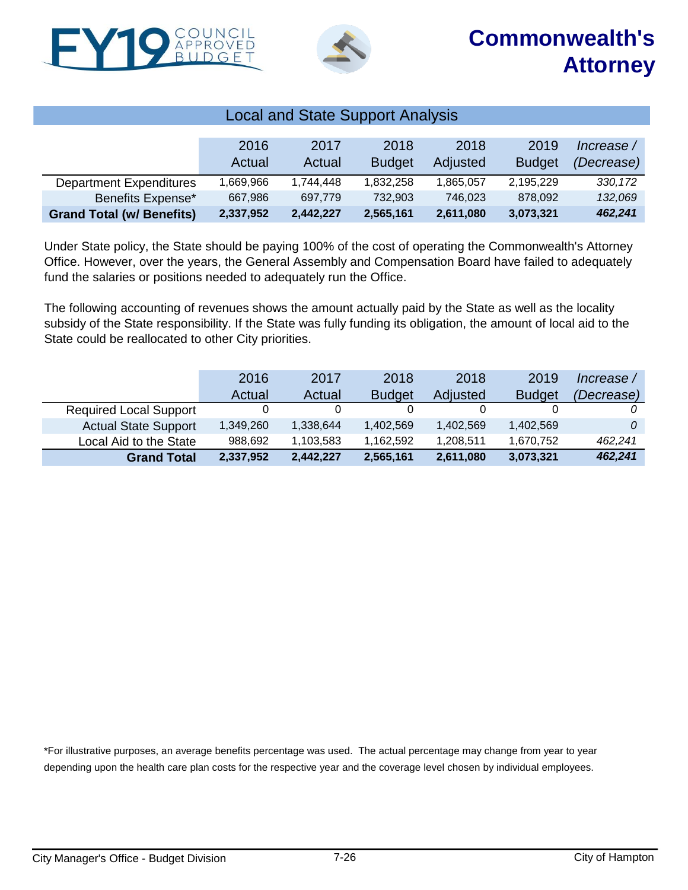



| <b>Local and State Support Analysis</b> |            |           |               |           |               |            |  |  |
|-----------------------------------------|------------|-----------|---------------|-----------|---------------|------------|--|--|
|                                         |            |           |               |           |               |            |  |  |
|                                         | 2016       | 2017      | 2018          | 2018      | 2019          | Increase / |  |  |
|                                         | Actual     | Actual    | <b>Budget</b> | Adjusted  | <b>Budget</b> | (Decrease) |  |  |
| <b>Department Expenditures</b>          | 669.966. ا | 1,744,448 | 1.832.258     | 1,865,057 | 2.195.229     | 330, 172   |  |  |
| Benefits Expense*                       | 667,986    | 697,779   | 732,903       | 746,023   | 878.092       | 132,069    |  |  |
| <b>Grand Total (w/ Benefits)</b>        | 2,337,952  | 2,442,227 | 2,565,161     | 2,611,080 | 3,073,321     | 462,241    |  |  |

Under State policy, the State should be paying 100% of the cost of operating the Commonwealth's Attorney Office. However, over the years, the General Assembly and Compensation Board have failed to adequately fund the salaries or positions needed to adequately run the Office.

The following accounting of revenues shows the amount actually paid by the State as well as the locality subsidy of the State responsibility. If the State was fully funding its obligation, the amount of local aid to the State could be reallocated to other City priorities.

|                               | 2016      | 2017      | 2018          | 2018      | 2019          | Increase /        |
|-------------------------------|-----------|-----------|---------------|-----------|---------------|-------------------|
|                               | Actual    | Actual    | <b>Budget</b> | Adjusted  | <b>Budget</b> | <i>(Decrease)</i> |
| <b>Required Local Support</b> |           |           |               |           |               |                   |
| <b>Actual State Support</b>   | 1,349,260 | 1,338,644 | 1,402,569     | 1,402,569 | 1,402,569     |                   |
| Local Aid to the State        | 988.692   | 1,103,583 | 1.162.592     | 1,208,511 | 1,670,752     | 462.241           |
| <b>Grand Total</b>            | 2,337,952 | 2,442,227 | 2,565,161     | 2,611,080 | 3,073,321     | 462,241           |

\*For illustrative purposes, an average benefits percentage was used. The actual percentage may change from year to year depending upon the health care plan costs for the respective year and the coverage level chosen by individual employees.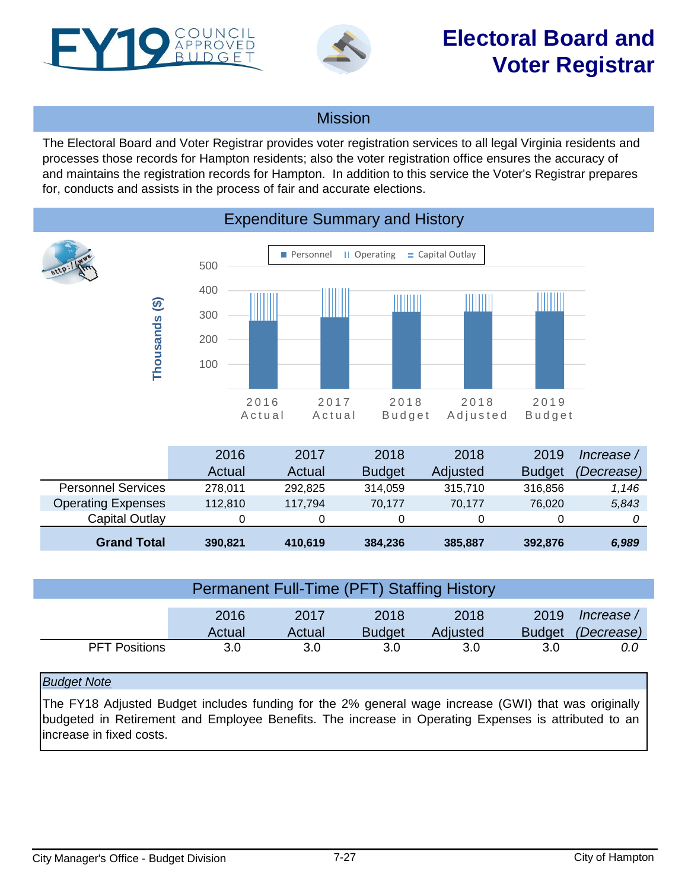<span id="page-26-0"></span>

**Thousands (\$)**

Thousands (\$)



### Mission

The Electoral Board and Voter Registrar provides voter registration services to all legal Virginia residents and processes those records for Hampton residents; also the voter registration office ensures the accuracy of and maintains the registration records for Hampton. In addition to this service the Voter's Registrar prepares for, conducts and assists in the process of fair and accurate elections.

Personnel II Operating  $=$  Capital Outlay 500 400 IIII ||||||||| ШШ 300 200 100 2016 2017 2019 2018 2018 A c t u a l A c t u a l B u d g e t A d j u s t e d B u d g e t

## Expenditure Summary and History

|                           | 2016    | 2017    | 2018          | 2018            | 2019          | lncrease   |
|---------------------------|---------|---------|---------------|-----------------|---------------|------------|
|                           | Actual  | Actual  | <b>Budget</b> | <b>Adjusted</b> | <b>Budget</b> | (Decrease) |
| <b>Personnel Services</b> | 278.011 | 292.825 | 314.059       | 315.710         | 316,856       | 1,146      |
| <b>Operating Expenses</b> | 112.810 | 117.794 | 70.177        | 70.177          | 76.020        | 5,843      |
| Capital Outlay            |         |         | 0             | 0               |               |            |
| <b>Grand Total</b>        | 390,821 | 410,619 | 384,236       | 385,887         | 392.876       | 6,989      |

| <b>Permanent Full-Time (PFT) Staffing History</b> |                |                |                       |                  |                       |                          |  |  |
|---------------------------------------------------|----------------|----------------|-----------------------|------------------|-----------------------|--------------------------|--|--|
|                                                   | 2016<br>Actual | 2017<br>Actual | 2018<br><b>Budget</b> | 2018<br>Adjusted | 2019<br><b>Budget</b> | Increase /<br>(Decrease) |  |  |
| <b>PFT Positions</b>                              | 3.0            | 3.0            | 3.0                   | 3.0              | 3.0                   | 0.0                      |  |  |
| $\mathbf{D}$ . $\mathbf{A}$ . $\mathbf{A}$        |                |                |                       |                  |                       |                          |  |  |

### *Budget Note*

The FY18 Adjusted Budget includes funding for the 2% general wage increase (GWI) that was originally budgeted in Retirement and Employee Benefits. The increase in Operating Expenses is attributed to an increase in fixed costs.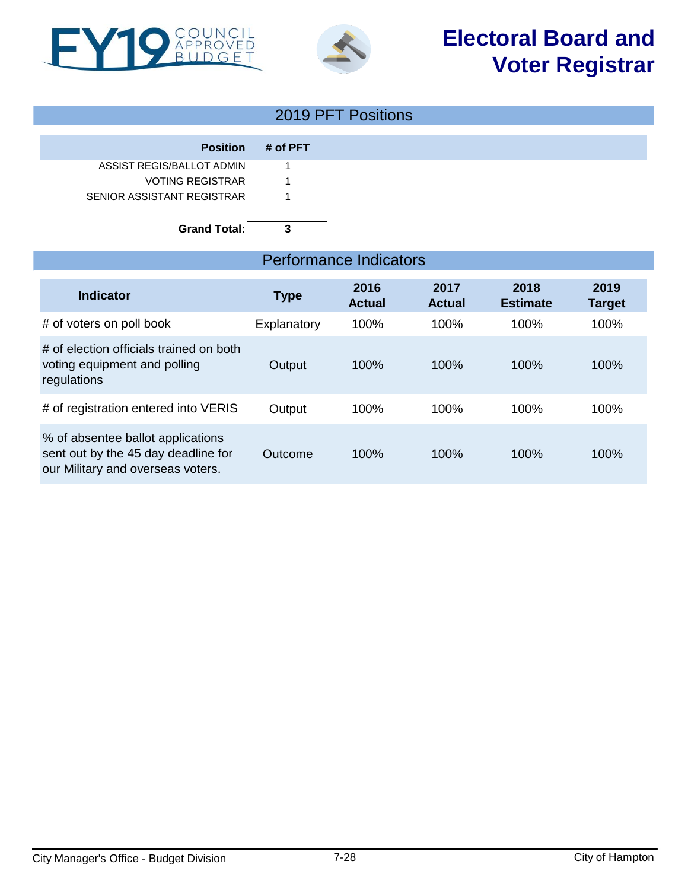



### 2019 PFT Positions

|                            | <b>Position # of PFT</b> |
|----------------------------|--------------------------|
| ASSIST REGIS/BALLOT ADMIN  |                          |
| <b>VOTING REGISTRAR</b>    |                          |
| SENIOR ASSISTANT REGISTRAR |                          |

### **Grand Total: 3**

### Performance Indicators

| <b>Indicator</b>                                                                                              | <b>Type</b> | 2016<br><b>Actual</b> | 2017<br><b>Actual</b> | 2018<br><b>Estimate</b> | 2019<br><b>Target</b> |
|---------------------------------------------------------------------------------------------------------------|-------------|-----------------------|-----------------------|-------------------------|-----------------------|
| # of voters on poll book                                                                                      | Explanatory | 100%                  | 100%                  | 100%                    | 100%                  |
| # of election officials trained on both<br>voting equipment and polling<br>regulations                        | Output      | 100%                  | 100%                  | 100%                    | 100%                  |
| # of registration entered into VERIS                                                                          | Output      | 100%                  | 100%                  | 100%                    | 100%                  |
| % of absentee ballot applications<br>sent out by the 45 day deadline for<br>our Military and overseas voters. | Outcome     | 100%                  | 100%                  | 100%                    | 100%                  |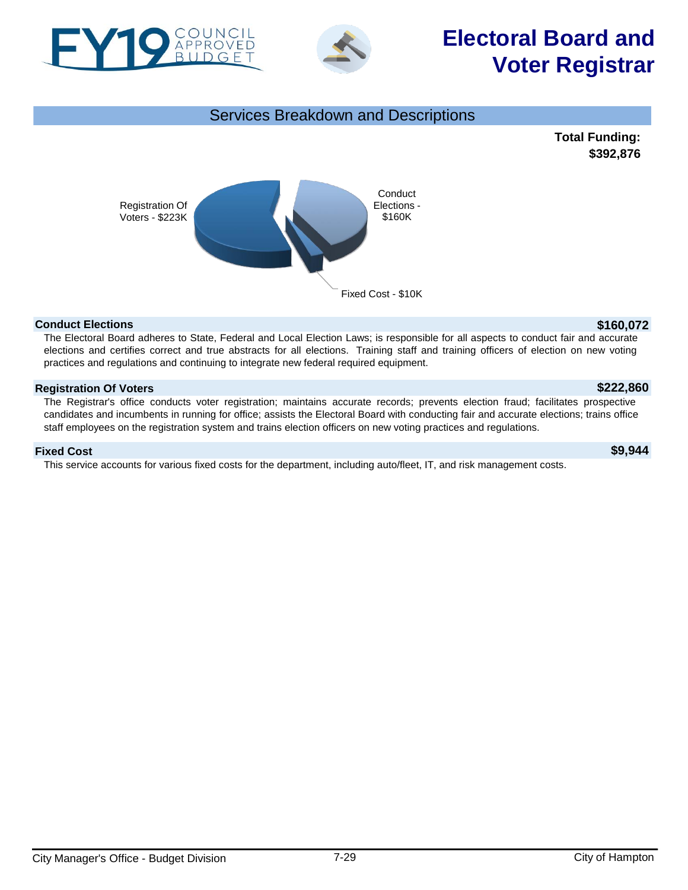



# **Electoral Board and Voter Registrar**



#### **Conduct Elections \$160,072**

The Electoral Board adheres to State, Federal and Local Election Laws; is responsible for all aspects to conduct fair and accurate elections and certifies correct and true abstracts for all elections. Training staff and training officers of election on new voting practices and regulations and continuing to integrate new federal required equipment.

#### **Registration Of Voters \$222,860**

The Registrar's office conducts voter registration; maintains accurate records; prevents election fraud; facilitates prospective candidates and incumbents in running for office; assists the Electoral Board with conducting fair and accurate elections; trains office staff employees on the registration system and trains election officers on new voting practices and regulations.

#### **Fixed Cost \$9,944**

This service accounts for various fixed costs for the department, including auto/fleet, IT, and risk management costs.

**\$392,876**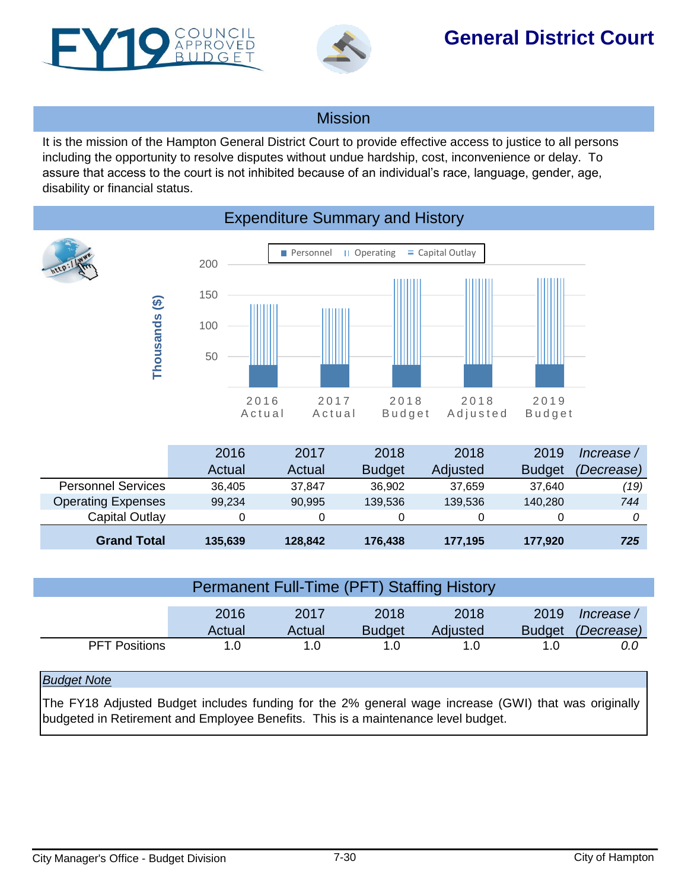<span id="page-29-0"></span>



## **General District Court**

### **Mission**

It is the mission of the Hampton General District Court to provide effective access to justice to all persons including the opportunity to resolve disputes without undue hardship, cost, inconvenience or delay. To assure that access to the court is not inhibited because of an individual's race, language, gender, age, disability or financial status.

Personnel II Operating  $\equiv$  Capital Outlay 200 150 **Thousands (\$)** Thousands (\$) 100 50 2016 2017 2018 2018 2019 A c t u a l A c t u a l B u d g e t B u d g e t A d j u s t e d

| <b>Expenditure Summary and History</b> |  |  |
|----------------------------------------|--|--|
|                                        |  |  |

|                           | 2016    | 2017    | 2018          | 2018     | 2019          | lncrease /        |
|---------------------------|---------|---------|---------------|----------|---------------|-------------------|
|                           | Actual  | Actual  | <b>Budget</b> | Adjusted | <b>Budget</b> | <i>(Decrease)</i> |
| <b>Personnel Services</b> | 36.405  | 37.847  | 36.902        | 37.659   | 37.640        | (19)              |
| <b>Operating Expenses</b> | 99,234  | 90.995  | 139.536       | 139.536  | 140,280       | 744               |
| Capital Outlay            |         |         |               |          |               |                   |
| <b>Grand Total</b>        | 135,639 | 128.842 | 176,438       | 177,195  | 177,920       | 725               |

| <b>Permanent Full-Time (PFT) Staffing History</b>                                                    |                |                |                       |                  |                       |                          |  |
|------------------------------------------------------------------------------------------------------|----------------|----------------|-----------------------|------------------|-----------------------|--------------------------|--|
|                                                                                                      | 2016<br>Actual | 2017<br>Actual | 2018<br><b>Budget</b> | 2018<br>Adjusted | 2019<br><b>Budget</b> | Increase /<br>(Decrease) |  |
| <b>PFT Positions</b>                                                                                 | 1.0            | 1.0            | 1.0                   | 1. $\Omega$      | 1.0                   | 0.0                      |  |
| <b>Budget Note</b>                                                                                   |                |                |                       |                  |                       |                          |  |
| The FY18 Adjusted Budget includes funding for the 2% general wage increase (GWI) that was originally |                |                |                       |                  |                       |                          |  |

budgeted in Retirement and Employee Benefits. This is a maintenance level budget.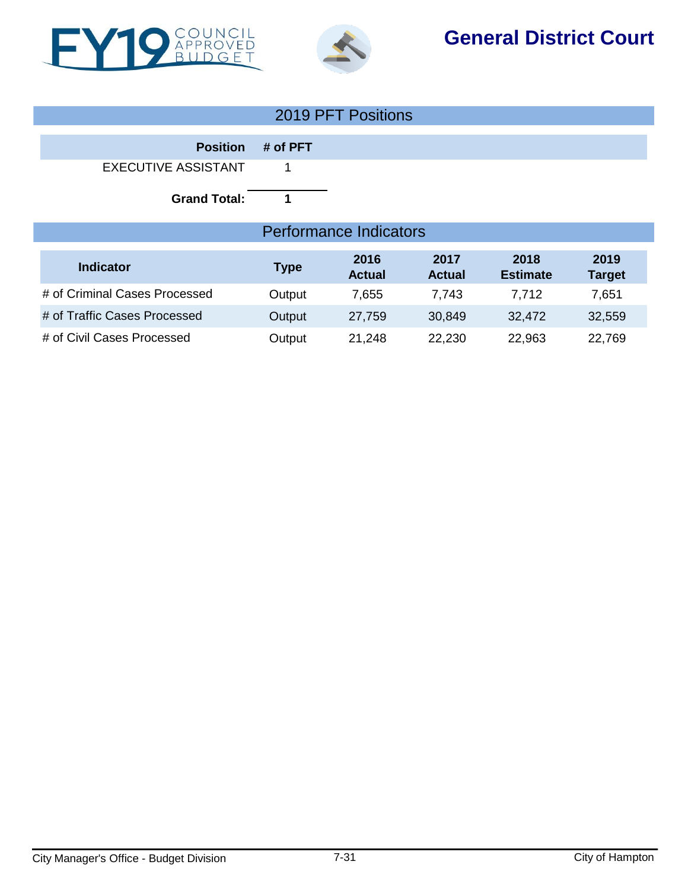



## **General District Court**

| 2019 PFT Positions            |                               |                       |                       |                         |                       |  |
|-------------------------------|-------------------------------|-----------------------|-----------------------|-------------------------|-----------------------|--|
| <b>Position</b>               | # of PFT                      |                       |                       |                         |                       |  |
| <b>EXECUTIVE ASSISTANT</b>    | 1                             |                       |                       |                         |                       |  |
| <b>Grand Total:</b>           | 1                             |                       |                       |                         |                       |  |
|                               | <b>Performance Indicators</b> |                       |                       |                         |                       |  |
| <b>Indicator</b>              | <b>Type</b>                   | 2016<br><b>Actual</b> | 2017<br><b>Actual</b> | 2018<br><b>Estimate</b> | 2019<br><b>Target</b> |  |
| # of Criminal Cases Processed | Output                        | 7,655                 | 7,743                 | 7,712                   | 7,651                 |  |
| # of Traffic Cases Processed  | Output                        | 27,759                | 30,849                | 32,472                  | 32,559                |  |
| # of Civil Cases Processed    | Output                        | 21,248                | 22,230                | 22,963                  | 22,769                |  |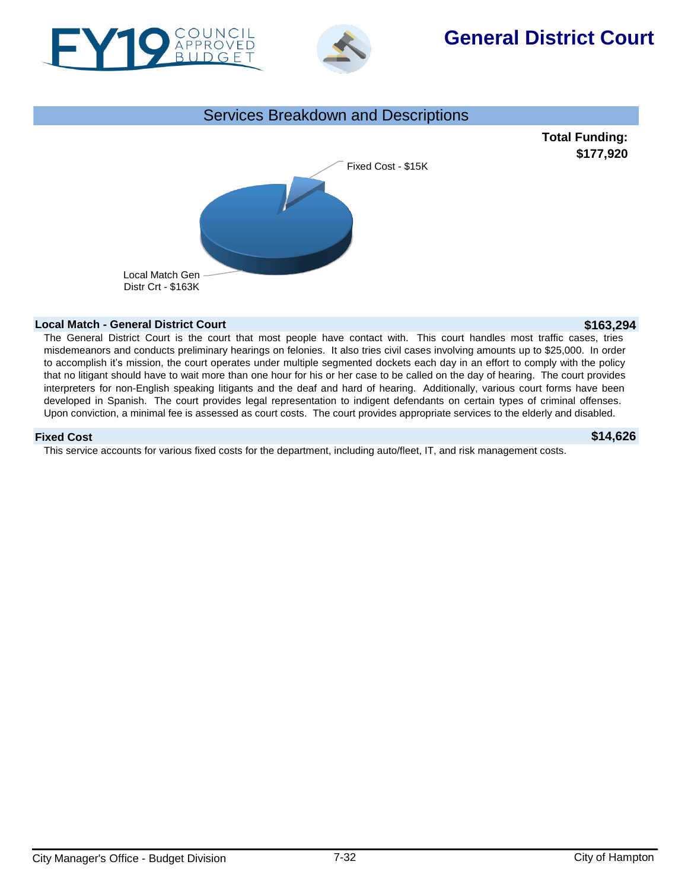



## **General District Court**



**Total Funding: \$177,920**



#### **Local Match - General District Court \$163,294**

The General District Court is the court that most people have contact with. This court handles most traffic cases, tries misdemeanors and conducts preliminary hearings on felonies. It also tries civil cases involving amounts up to \$25,000. In order to accomplish it's mission, the court operates under multiple segmented dockets each day in an effort to comply with the policy that no litigant should have to wait more than one hour for his or her case to be called on the day of hearing. The court provides interpreters for non-English speaking litigants and the deaf and hard of hearing. Additionally, various court forms have been developed in Spanish. The court provides legal representation to indigent defendants on certain types of criminal offenses. Upon conviction, a minimal fee is assessed as court costs. The court provides appropriate services to the elderly and disabled.

#### **Fixed Cost \$14,626**

This service accounts for various fixed costs for the department, including auto/fleet, IT, and risk management costs.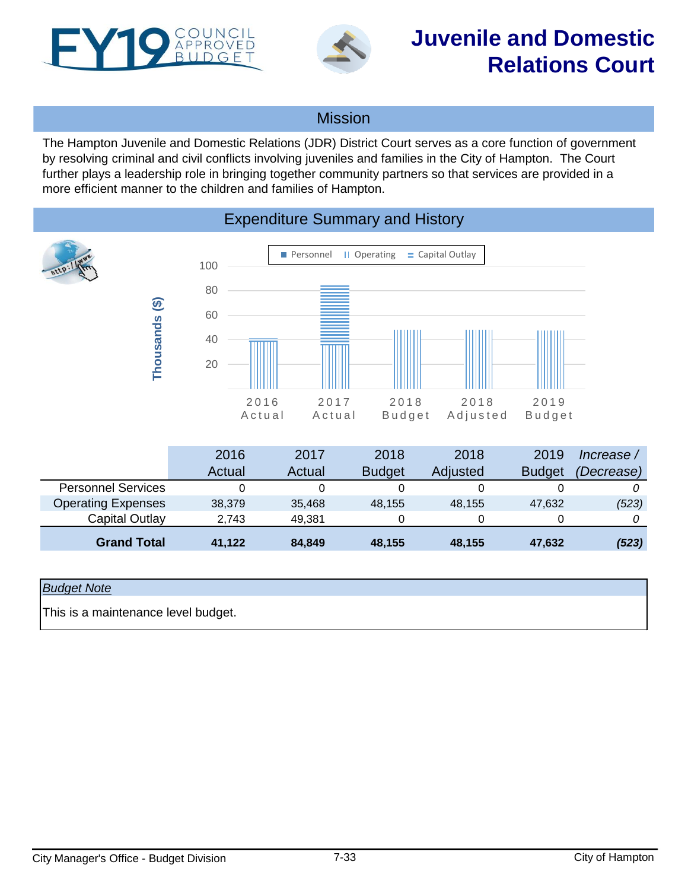<span id="page-32-0"></span>



## **Juvenile and Domestic Relations Court**

### Mission

The Hampton Juvenile and Domestic Relations (JDR) District Court serves as a core function of government by resolving criminal and civil conflicts involving juveniles and families in the City of Hampton. The Court further plays a leadership role in bringing together community partners so that services are provided in a more efficient manner to the children and families of Hampton.

### Expenditure Summary and History



|                           | 2016   | 2017   | 2018          | 2018            | 2019          | Increase / |
|---------------------------|--------|--------|---------------|-----------------|---------------|------------|
|                           | Actual | Actual | <b>Budget</b> | <b>Adjusted</b> | <b>Budget</b> | (Decrease) |
| <b>Personnel Services</b> |        |        |               |                 |               |            |
| <b>Operating Expenses</b> | 38.379 | 35.468 | 48.155        | 48.155          | 47.632        | (523)      |
| Capital Outlay            | 2,743  | 49.381 |               | 0               |               |            |
| <b>Grand Total</b>        | 41.122 | 84,849 | 48.155        | 48,155          | 47,632        | (523)      |

#### *Budget Note*

This is a maintenance level budget.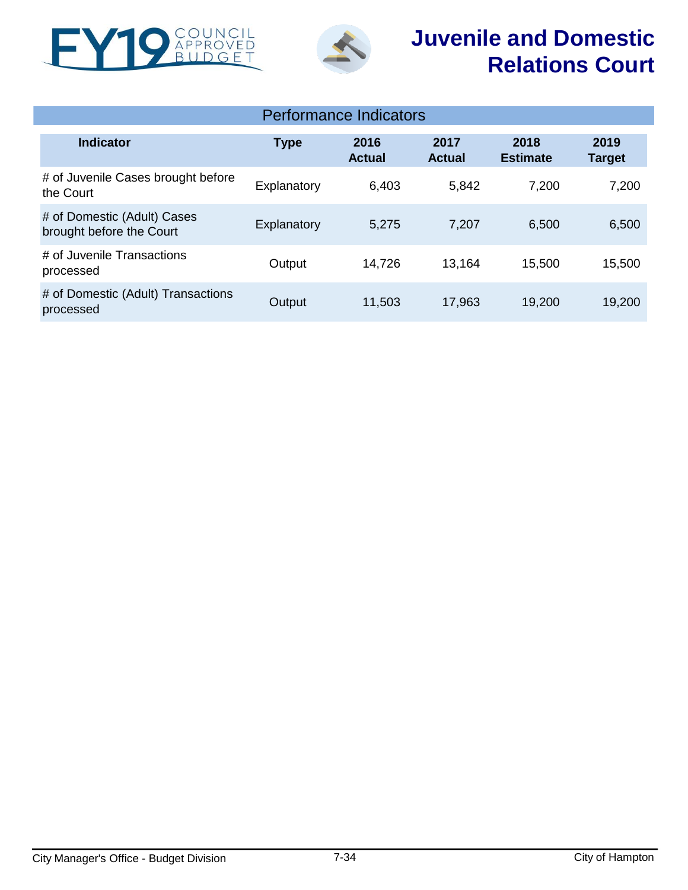



# **Juvenile and Domestic Relations Court**

|                                                         |             | Performance Indicators |                       |                         |                       |
|---------------------------------------------------------|-------------|------------------------|-----------------------|-------------------------|-----------------------|
| <b>Indicator</b>                                        | <b>Type</b> | 2016<br><b>Actual</b>  | 2017<br><b>Actual</b> | 2018<br><b>Estimate</b> | 2019<br><b>Target</b> |
| # of Juvenile Cases brought before<br>the Court         | Explanatory | 6,403                  | 5,842                 | 7,200                   | 7,200                 |
| # of Domestic (Adult) Cases<br>brought before the Court | Explanatory | 5,275                  | 7,207                 | 6,500                   | 6,500                 |
| # of Juvenile Transactions<br>processed                 | Output      | 14,726                 | 13,164                | 15,500                  | 15,500                |
| # of Domestic (Adult) Transactions<br>processed         | Output      | 11,503                 | 17,963                | 19,200                  | 19,200                |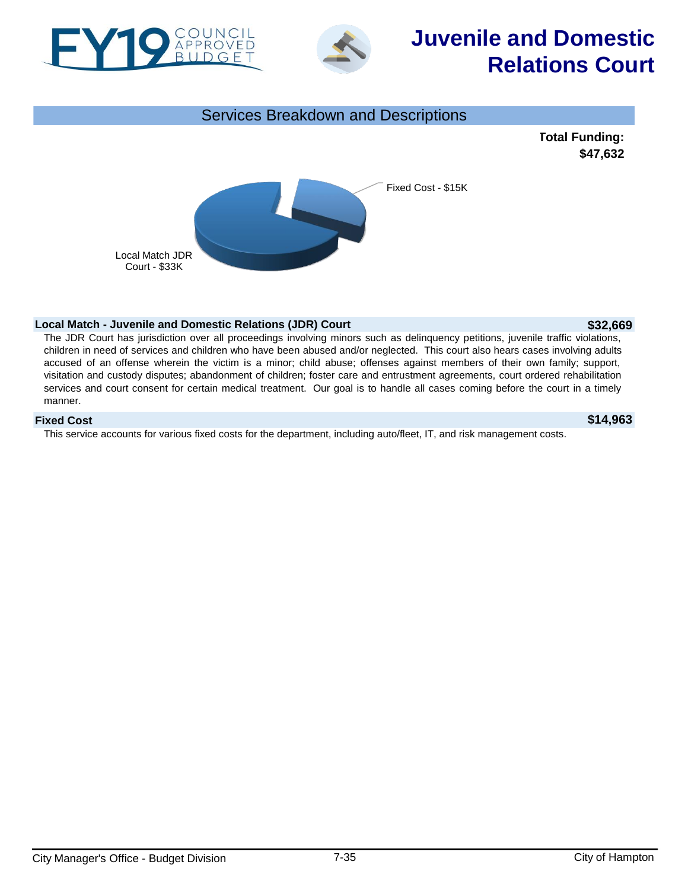



# **Juvenile and Domestic Relations Court**



#### **Local Match - Juvenile and Domestic Relations (JDR) Court <b>\$32,669 \$32,669**

The JDR Court has jurisdiction over all proceedings involving minors such as delinquency petitions, juvenile traffic violations, children in need of services and children who have been abused and/or neglected. This court also hears cases involving adults accused of an offense wherein the victim is a minor; child abuse; offenses against members of their own family; support, visitation and custody disputes; abandonment of children; foster care and entrustment agreements, court ordered rehabilitation services and court consent for certain medical treatment. Our goal is to handle all cases coming before the court in a timely manner.

#### **Fixed Cost \$14,963**

This service accounts for various fixed costs for the department, including auto/fleet, IT, and risk management costs.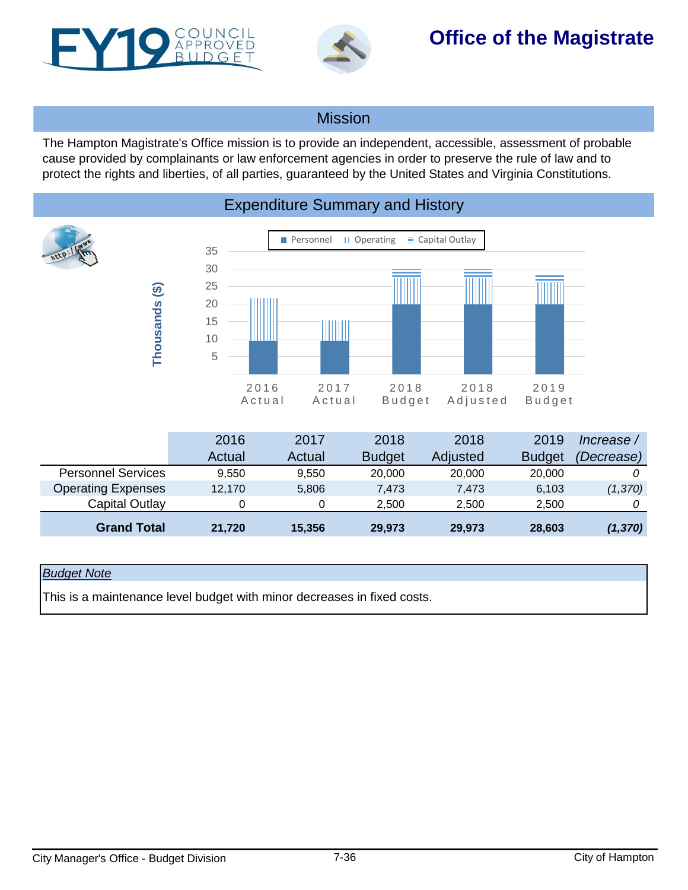<span id="page-35-0"></span>



## **Office of the Magistrate**

### **Mission**

The Hampton Magistrate's Office mission is to provide an independent, accessible, assessment of probable cause provided by complainants or law enforcement agencies in order to preserve the rule of law and to protect the rights and liberties, of all parties, guaranteed by the United States and Virginia Constitutions.



|                           | 2016   | 2017   | 2018          | 2018     | 2019          | Increase / |
|---------------------------|--------|--------|---------------|----------|---------------|------------|
|                           | Actual | Actual | <b>Budget</b> | Adjusted | <b>Budget</b> | (Decrease) |
| <b>Personnel Services</b> | 9.550  | 9.550  | 20,000        | 20,000   | 20,000        |            |
| <b>Operating Expenses</b> | 12.170 | 5.806  | 7.473         | 7.473    | 6,103         | (1,370)    |
| Capital Outlay            |        |        | 2,500         | 2.500    | 2.500         |            |
| <b>Grand Total</b>        | 21.720 | 15,356 | 29,973        | 29,973   | 28,603        | (1, 370)   |

#### *Budget Note*

This is a maintenance level budget with minor decreases in fixed costs.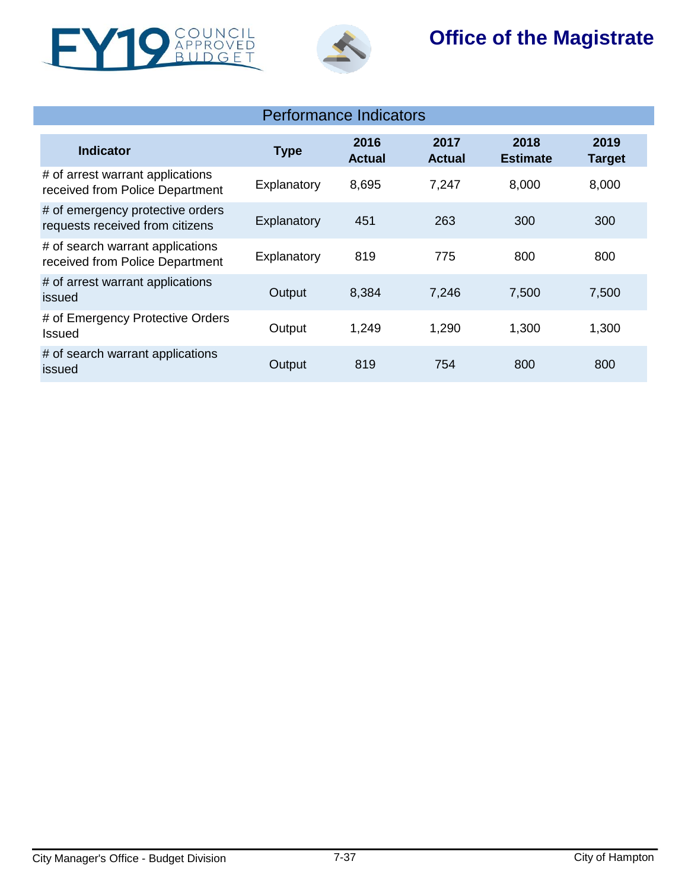



## **Office of the Magistrate**

| <b>Performance Indicators</b>                                       |             |                       |                       |                         |                       |  |  |
|---------------------------------------------------------------------|-------------|-----------------------|-----------------------|-------------------------|-----------------------|--|--|
| Indicator                                                           | <b>Type</b> | 2016<br><b>Actual</b> | 2017<br><b>Actual</b> | 2018<br><b>Estimate</b> | 2019<br><b>Target</b> |  |  |
| # of arrest warrant applications<br>received from Police Department | Explanatory | 8,695                 | 7,247                 | 8,000                   | 8,000                 |  |  |
| # of emergency protective orders<br>requests received from citizens | Explanatory | 451                   | 263                   | 300                     | 300                   |  |  |
| # of search warrant applications<br>received from Police Department | Explanatory | 819                   | 775                   | 800                     | 800                   |  |  |
| # of arrest warrant applications<br>issued                          | Output      | 8,384                 | 7,246                 | 7,500                   | 7,500                 |  |  |
| # of Emergency Protective Orders<br>Issued                          | Output      | 1,249                 | 1,290                 | 1,300                   | 1,300                 |  |  |
| # of search warrant applications<br>issued                          | Output      | 819                   | 754                   | 800                     | 800                   |  |  |